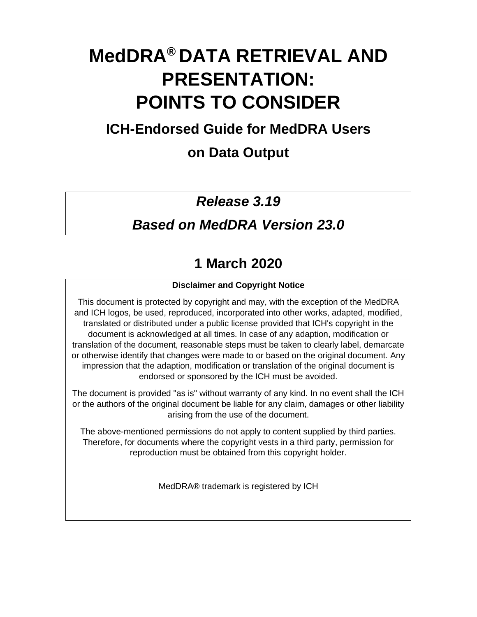# **MedDRA® DATA RETRIEVAL AND PRESENTATION: POINTS TO CONSIDER**

# **ICH-Endorsed Guide for MedDRA Users**

# **on Data Output**

# *Release 3.19*

# *Based on MedDRA Version 23.0*

# **1 March 2020**

# **Disclaimer and Copyright Notice**

This document is protected by copyright and may, with the exception of the MedDRA and ICH logos, be used, reproduced, incorporated into other works, adapted, modified, translated or distributed under a public license provided that ICH's copyright in the document is acknowledged at all times. In case of any adaption, modification or translation of the document, reasonable steps must be taken to clearly label, demarcate or otherwise identify that changes were made to or based on the original document. Any impression that the adaption, modification or translation of the original document is endorsed or sponsored by the ICH must be avoided.

The document is provided "as is" without warranty of any kind. In no event shall the ICH or the authors of the original document be liable for any claim, damages or other liability arising from the use of the document.

The above-mentioned permissions do not apply to content supplied by third parties. Therefore, for documents where the copyright vests in a third party, permission for reproduction must be obtained from this copyright holder.

MedDRA® trademark is registered by ICH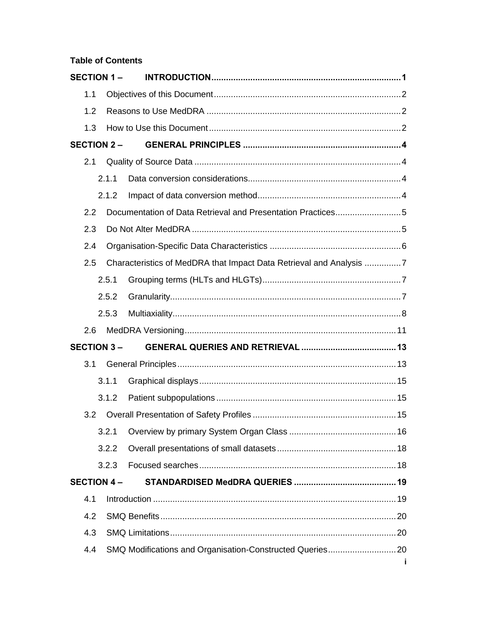# **Table of Contents**

|     | <b>SECTION 1-</b> |                                                                     |
|-----|-------------------|---------------------------------------------------------------------|
| 1.1 |                   |                                                                     |
| 1.2 |                   |                                                                     |
| 1.3 |                   |                                                                     |
|     | <b>SECTION 2-</b> |                                                                     |
| 2.1 |                   |                                                                     |
|     | 2.1.1             |                                                                     |
|     | 2.1.2             |                                                                     |
| 2.2 |                   | Documentation of Data Retrieval and Presentation Practices5         |
| 2.3 |                   |                                                                     |
| 2.4 |                   |                                                                     |
| 2.5 |                   | Characteristics of MedDRA that Impact Data Retrieval and Analysis 7 |
|     | 2.5.1             |                                                                     |
|     | 2.5.2             |                                                                     |
|     | 2.5.3             |                                                                     |
| 2.6 |                   |                                                                     |
|     | <b>SECTION 3-</b> |                                                                     |
| 3.1 |                   |                                                                     |
|     | 3.1.1             |                                                                     |
|     | 3.1.2             |                                                                     |
| 3.2 |                   |                                                                     |
|     | 3.2.1             |                                                                     |
|     | 3.2.2             |                                                                     |
|     | 3.2.3             |                                                                     |
|     | <b>SECTION 4-</b> |                                                                     |
| 4.1 |                   |                                                                     |
| 4.2 |                   |                                                                     |
| 4.3 |                   |                                                                     |
| 4.4 |                   |                                                                     |
|     |                   | Ť                                                                   |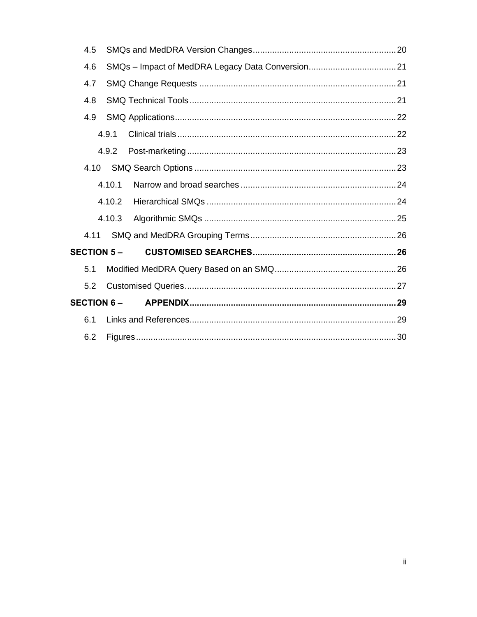| 4.5               |        |  |
|-------------------|--------|--|
| 4.6               |        |  |
| 4.7               |        |  |
| 4.8               |        |  |
| 4.9               |        |  |
|                   | 4.9.1  |  |
|                   | 4.9.2  |  |
| 4.10              |        |  |
|                   | 4.10.1 |  |
|                   | 4.10.2 |  |
|                   | 4.10.3 |  |
| 4.11              |        |  |
| <b>SECTION 5-</b> |        |  |
| 5.1               |        |  |
| 5.2               |        |  |
| <b>SECTION 6-</b> |        |  |
| 6.1               |        |  |
| 6.2               |        |  |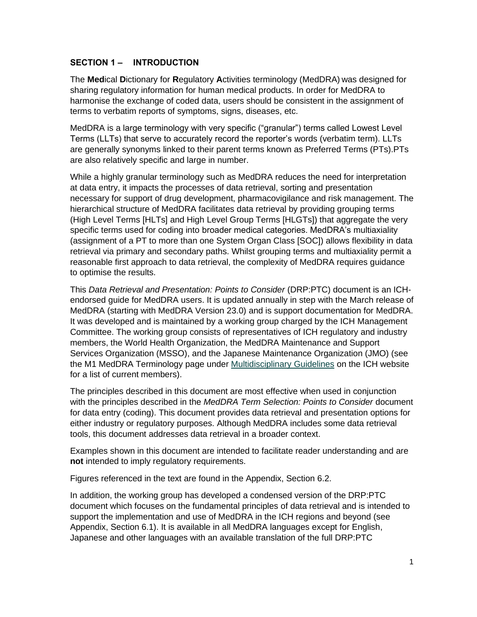#### **SECTION 1 – INTRODUCTION**

The **Med**ical **D**ictionary for **R**egulatory **A**ctivities terminology (MedDRA) was designed for sharing regulatory information for human medical products. In order for MedDRA to harmonise the exchange of coded data, users should be consistent in the assignment of terms to verbatim reports of symptoms, signs, diseases, etc.

MedDRA is a large terminology with very specific ("granular") terms called Lowest Level Terms (LLTs) that serve to accurately record the reporter's words (verbatim term). LLTs are generally synonyms linked to their parent terms known as Preferred Terms (PTs).PTs are also relatively specific and large in number.

While a highly granular terminology such as MedDRA reduces the need for interpretation at data entry, it impacts the processes of data retrieval, sorting and presentation necessary for support of drug development, pharmacovigilance and risk management. The hierarchical structure of MedDRA facilitates data retrieval by providing grouping terms (High Level Terms [HLTs] and High Level Group Terms [HLGTs]) that aggregate the very specific terms used for coding into broader medical categories. MedDRA's multiaxiality (assignment of a PT to more than one System Organ Class [SOC]) allows flexibility in data retrieval via primary and secondary paths. Whilst grouping terms and multiaxiality permit a reasonable first approach to data retrieval, the complexity of MedDRA requires guidance to optimise the results.

This *Data Retrieval and Presentation: Points to Consider* (DRP:PTC) document is an ICHendorsed guide for MedDRA users. It is updated annually in step with the March release of MedDRA (starting with MedDRA Version 23.0) and is support documentation for MedDRA. It was developed and is maintained by a working group charged by the ICH Management Committee. The working group consists of representatives of ICH regulatory and industry members, the World Health Organization, the MedDRA Maintenance and Support Services Organization (MSSO), and the Japanese Maintenance Organization (JMO) (see the M1 MedDRA Terminology page under [Multidisciplinary Guidelines](http://www.ich.org/products/guidelines/multidisciplinary/article/multidisciplinary-guidelines.html) on the ICH website for a list of current members).

The principles described in this document are most effective when used in conjunction with the principles described in the *MedDRA Term Selection: Points to Consider* document for data entry (coding). This document provides data retrieval and presentation options for either industry or regulatory purposes. Although MedDRA includes some data retrieval tools, this document addresses data retrieval in a broader context.

Examples shown in this document are intended to facilitate reader understanding and are **not** intended to imply regulatory requirements.

Figures referenced in the text are found in the Appendix, Section 6.2.

In addition, the working group has developed a condensed version of the DRP:PTC document which focuses on the fundamental principles of data retrieval and is intended to support the implementation and use of MedDRA in the ICH regions and beyond (see Appendix, Section 6.1). It is available in all MedDRA languages except for English, Japanese and other languages with an available translation of the full DRP:PTC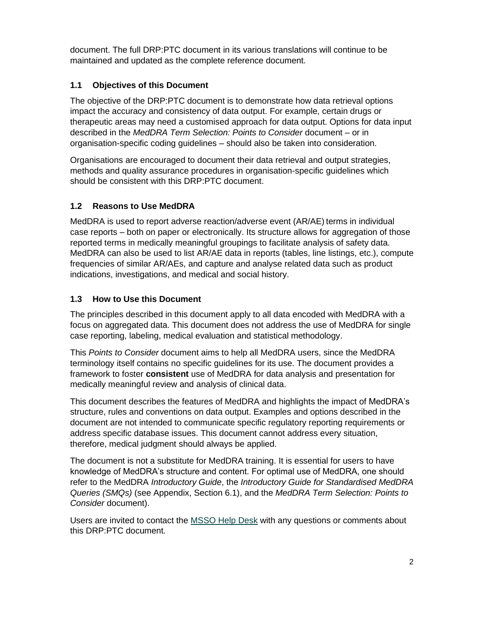document. The full DRP:PTC document in its various translations will continue to be maintained and updated as the complete reference document.

# **1.1 Objectives of this Document**

The objective of the DRP:PTC document is to demonstrate how data retrieval options impact the accuracy and consistency of data output. For example, certain drugs or therapeutic areas may need a customised approach for data output. Options for data input described in the *MedDRA Term Selection: Points to Consider* document – or in organisation-specific coding guidelines – should also be taken into consideration.

Organisations are encouraged to document their data retrieval and output strategies, methods and quality assurance procedures in organisation-specific guidelines which should be consistent with this DRP:PTC document.

# **1.2 Reasons to Use MedDRA**

MedDRA is used to report adverse reaction/adverse event (AR/AE) terms in individual case reports – both on paper or electronically. Its structure allows for aggregation of those reported terms in medically meaningful groupings to facilitate analysis of safety data. MedDRA can also be used to list AR/AE data in reports (tables, line listings, etc.), compute frequencies of similar AR/AEs, and capture and analyse related data such as product indications, investigations, and medical and social history.

# **1.3 How to Use this Document**

The principles described in this document apply to all data encoded with MedDRA with a focus on aggregated data. This document does not address the use of MedDRA for single case reporting, labeling, medical evaluation and statistical methodology.

This *Points to Consider* document aims to help all MedDRA users, since the MedDRA terminology itself contains no specific guidelines for its use. The document provides a framework to foster **consistent** use of MedDRA for data analysis and presentation for medically meaningful review and analysis of clinical data.

This document describes the features of MedDRA and highlights the impact of MedDRA's structure, rules and conventions on data output. Examples and options described in the document are not intended to communicate specific regulatory reporting requirements or address specific database issues. This document cannot address every situation, therefore, medical judgment should always be applied.

The document is not a substitute for MedDRA training. It is essential for users to have knowledge of MedDRA's structure and content. For optimal use of MedDRA, one should refer to the MedDRA *Introductory Guide*, the *Introductory Guide for Standardised MedDRA Queries (SMQs)* (see Appendix, Section 6.1), and the *MedDRA Term Selection: Points to Consider* document).

Users are invited to contact the [MSSO Help Desk](mailto:mssohelp@meddra.org?subject=PTC) with any questions or comments about this DRP:PTC document.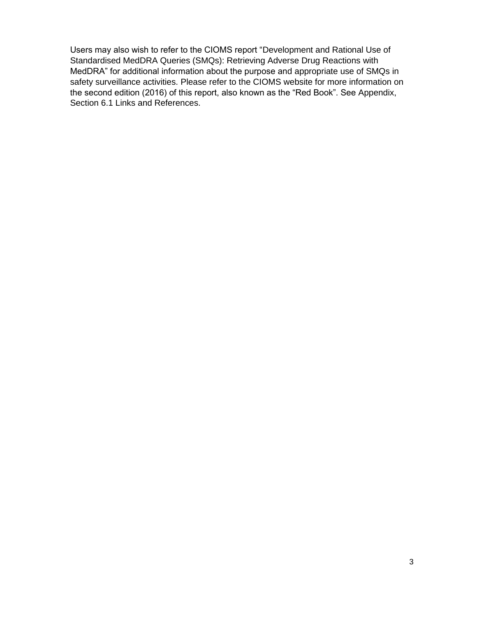Users may also wish to refer to the CIOMS report "Development and Rational Use of Standardised MedDRA Queries (SMQs): Retrieving Adverse Drug Reactions with MedDRA" for additional information about the purpose and appropriate use of SMQs in safety surveillance activities. Please refer to the CIOMS website for more information on the second edition (2016) of this report, also known as the "Red Book". See Appendix, Section 6.1 Links and References.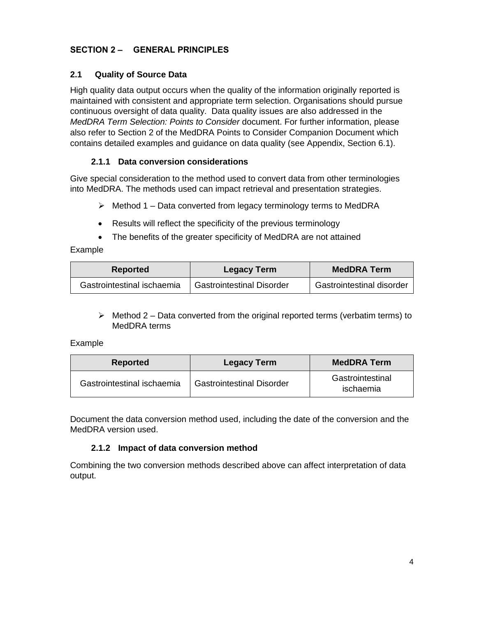#### **SECTION 2 – GENERAL PRINCIPLES**

#### **2.1 Quality of Source Data**

High quality data output occurs when the quality of the information originally reported is maintained with consistent and appropriate term selection. Organisations should pursue continuous oversight of data quality. Data quality issues are also addressed in the *MedDRA Term Selection: Points to Consider* document. For further information, please also refer to Section 2 of the MedDRA Points to Consider Companion Document which contains detailed examples and guidance on data quality (see Appendix, Section 6.1).

#### **2.1.1 Data conversion considerations**

Give special consideration to the method used to convert data from other terminologies into MedDRA. The methods used can impact retrieval and presentation strategies.

- $\triangleright$  Method 1 Data converted from legacy terminology terms to MedDRA
- Results will reflect the specificity of the previous terminology
- The benefits of the greater specificity of MedDRA are not attained

#### Example

| <b>Reported</b>            | <b>Legacy Term</b>               | <b>MedDRA Term</b>        |
|----------------------------|----------------------------------|---------------------------|
| Gastrointestinal ischaemia | <b>Gastrointestinal Disorder</b> | Gastrointestinal disorder |

 $\triangleright$  Method 2 – Data converted from the original reported terms (verbatim terms) to MedDRA terms

#### Example

| Reported                   | <b>Legacy Term</b>               | <b>MedDRA Term</b>            |
|----------------------------|----------------------------------|-------------------------------|
| Gastrointestinal ischaemia | <b>Gastrointestinal Disorder</b> | Gastrointestinal<br>ischaemia |

Document the data conversion method used, including the date of the conversion and the MedDRA version used.

#### **2.1.2 Impact of data conversion method**

Combining the two conversion methods described above can affect interpretation of data output.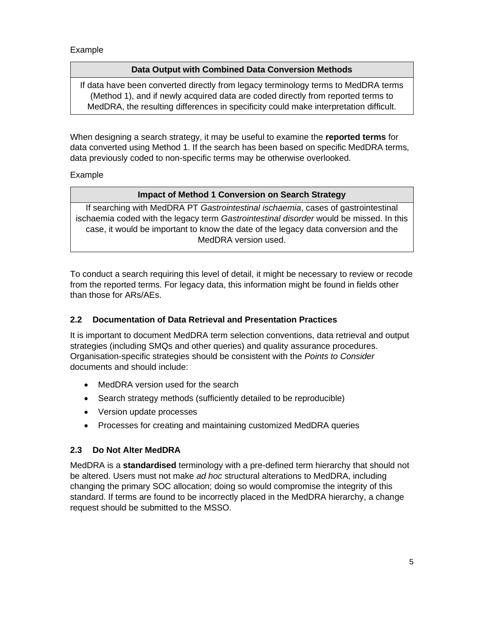Example

#### **Data Output with Combined Data Conversion Methods**

If data have been converted directly from legacy terminology terms to MedDRA terms (Method 1), and if newly acquired data are coded directly from reported terms to MedDRA, the resulting differences in specificity could make interpretation difficult.

When designing a search strategy, it may be useful to examine the **reported terms** for data converted using Method 1. If the search has been based on specific MedDRA terms, data previously coded to non-specific terms may be otherwise overlooked.

Example

# **Impact of Method 1 Conversion on Search Strategy**

If searching with MedDRA PT *Gastrointestinal ischaemia*, cases of gastrointestinal ischaemia coded with the legacy term *Gastrointestinal disorder* would be missed. In this case, it would be important to know the date of the legacy data conversion and the MedDRA version used.

To conduct a search requiring this level of detail, it might be necessary to review or recode from the reported terms. For legacy data, this information might be found in fields other than those for ARs/AEs.

# **2.2 Documentation of Data Retrieval and Presentation Practices**

It is important to document MedDRA term selection conventions, data retrieval and output strategies (including SMQs and other queries) and quality assurance procedures. Organisation-specific strategies should be consistent with the *Points to Consider* documents and should include:

- MedDRA version used for the search
- Search strategy methods (sufficiently detailed to be reproducible)
- Version update processes
- Processes for creating and maintaining customized MedDRA queries

# **2.3 Do Not Alter MedDRA**

MedDRA is a **standardised** terminology with a pre-defined term hierarchy that should not be altered. Users must not make *ad hoc* structural alterations to MedDRA, including changing the primary SOC allocation; doing so would compromise the integrity of this standard. If terms are found to be incorrectly placed in the MedDRA hierarchy, a change request should be submitted to the MSSO.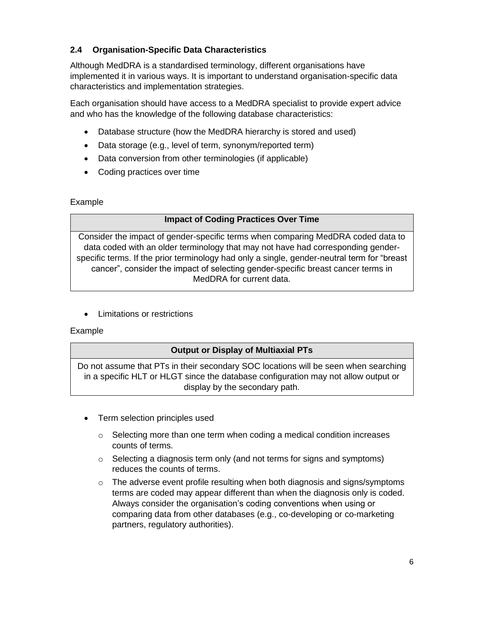# **2.4 Organisation-Specific Data Characteristics**

Although MedDRA is a standardised terminology, different organisations have implemented it in various ways. It is important to understand organisation-specific data characteristics and implementation strategies.

Each organisation should have access to a MedDRA specialist to provide expert advice and who has the knowledge of the following database characteristics:

- Database structure (how the MedDRA hierarchy is stored and used)
- Data storage (e.g., level of term, synonym/reported term)
- Data conversion from other terminologies (if applicable)
- Coding practices over time

#### Example

# **Impact of Coding Practices Over Time**

Consider the impact of gender-specific terms when comparing MedDRA coded data to data coded with an older terminology that may not have had corresponding genderspecific terms. If the prior terminology had only a single, gender-neutral term for "breast cancer", consider the impact of selecting gender-specific breast cancer terms in MedDRA for current data.

• Limitations or restrictions

#### Example

# **Output or Display of Multiaxial PTs**

Do not assume that PTs in their secondary SOC locations will be seen when searching in a specific HLT or HLGT since the database configuration may not allow output or display by the secondary path.

- Term selection principles used
	- $\circ$  Selecting more than one term when coding a medical condition increases counts of terms.
	- $\circ$  Selecting a diagnosis term only (and not terms for signs and symptoms) reduces the counts of terms.
	- $\circ$  The adverse event profile resulting when both diagnosis and signs/symptoms terms are coded may appear different than when the diagnosis only is coded. Always consider the organisation's coding conventions when using or comparing data from other databases (e.g., co-developing or co-marketing partners, regulatory authorities).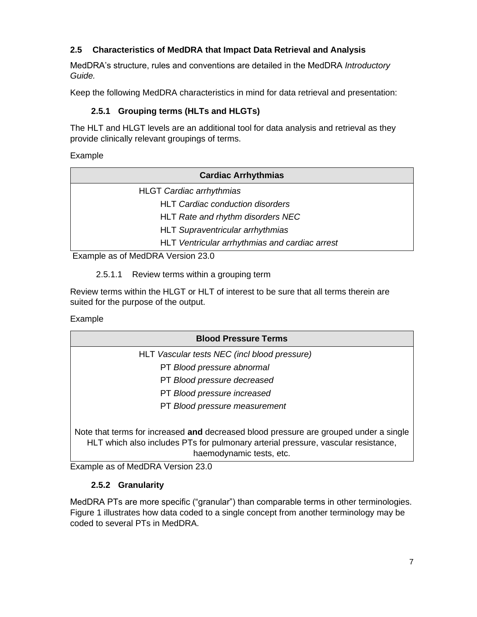# **2.5 Characteristics of MedDRA that Impact Data Retrieval and Analysis**

MedDRA's structure, rules and conventions are detailed in the MedDRA *Introductory Guide.* 

Keep the following MedDRA characteristics in mind for data retrieval and presentation:

# **2.5.1 Grouping terms (HLTs and HLGTs)**

The HLT and HLGT levels are an additional tool for data analysis and retrieval as they provide clinically relevant groupings of terms.

Example

| <b>Cardiac Arrhythmias</b>                     |
|------------------------------------------------|
| <b>HLGT</b> Cardiac arrhythmias                |
| <b>HLT Cardiac conduction disorders</b>        |
| HLT Rate and rhythm disorders NEC              |
| <b>HLT Supraventricular arrhythmias</b>        |
| HLT Ventricular arrhythmias and cardiac arrest |
| T                                              |

Example as of MedDRA Version 23.0

2.5.1.1 Review terms within a grouping term

Review terms within the HLGT or HLT of interest to be sure that all terms therein are suited for the purpose of the output.

#### Example

| <b>Blood Pressure Terms</b>                                                                                                                                                |
|----------------------------------------------------------------------------------------------------------------------------------------------------------------------------|
| HLT Vascular tests NEC (incl blood pressure)                                                                                                                               |
| PT Blood pressure abnormal                                                                                                                                                 |
| PT Blood pressure decreased                                                                                                                                                |
| PT Blood pressure increased                                                                                                                                                |
| PT Blood pressure measurement                                                                                                                                              |
| Note that terms for increased and decreased blood pressure are grouped under a single<br>HLT which also includes PTs for pulmonary arterial pressure, vascular resistance, |

haemodynamic tests, etc.

Example as of MedDRA Version 23.0

# **2.5.2 Granularity**

MedDRA PTs are more specific ("granular") than comparable terms in other terminologies. Figure 1 illustrates how data coded to a single concept from another terminology may be coded to several PTs in MedDRA.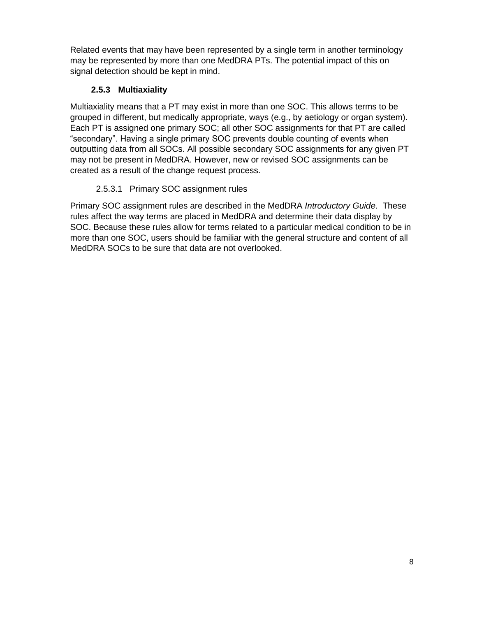Related events that may have been represented by a single term in another terminology may be represented by more than one MedDRA PTs. The potential impact of this on signal detection should be kept in mind.

# **2.5.3 Multiaxiality**

Multiaxiality means that a PT may exist in more than one SOC. This allows terms to be grouped in different, but medically appropriate, ways (e.g., by aetiology or organ system). Each PT is assigned one primary SOC; all other SOC assignments for that PT are called "secondary". Having a single primary SOC prevents double counting of events when outputting data from all SOCs. All possible secondary SOC assignments for any given PT may not be present in MedDRA. However, new or revised SOC assignments can be created as a result of the change request process.

# 2.5.3.1 Primary SOC assignment rules

Primary SOC assignment rules are described in the MedDRA *Introductory Guide*. These rules affect the way terms are placed in MedDRA and determine their data display by SOC. Because these rules allow for terms related to a particular medical condition to be in more than one SOC, users should be familiar with the general structure and content of all MedDRA SOCs to be sure that data are not overlooked.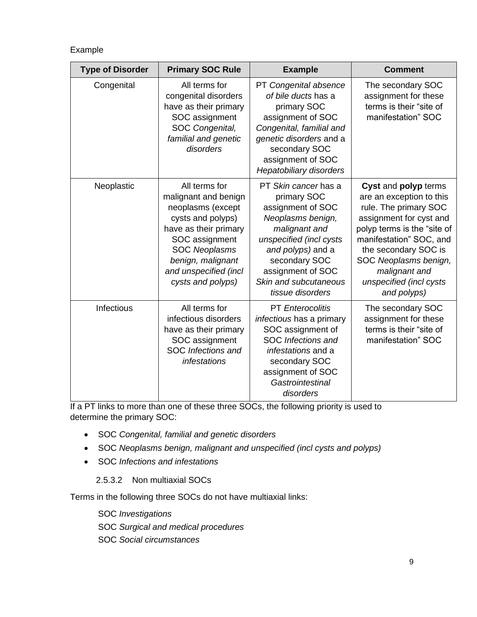#### Example

| <b>Type of Disorder</b> | <b>Primary SOC Rule</b>                                                                                                                                                                                               | <b>Example</b>                                                                                                                                                                                                                    | <b>Comment</b>                                                                                                                                                                                                                                                             |
|-------------------------|-----------------------------------------------------------------------------------------------------------------------------------------------------------------------------------------------------------------------|-----------------------------------------------------------------------------------------------------------------------------------------------------------------------------------------------------------------------------------|----------------------------------------------------------------------------------------------------------------------------------------------------------------------------------------------------------------------------------------------------------------------------|
| Congenital              | All terms for<br>congenital disorders<br>have as their primary<br>SOC assignment<br>SOC Congenital,<br>familial and genetic<br>disorders                                                                              | PT Congenital absence<br>of bile ducts has a<br>primary SOC<br>assignment of SOC<br>Congenital, familial and<br>genetic disorders and a<br>secondary SOC<br>assignment of SOC<br><b>Hepatobiliary disorders</b>                   | The secondary SOC<br>assignment for these<br>terms is their "site of<br>manifestation" SOC                                                                                                                                                                                 |
| Neoplastic              | All terms for<br>malignant and benign<br>neoplasms (except<br>cysts and polyps)<br>have as their primary<br>SOC assignment<br><b>SOC Neoplasms</b><br>benign, malignant<br>and unspecified (incl<br>cysts and polyps) | PT Skin cancer has a<br>primary SOC<br>assignment of SOC<br>Neoplasms benign,<br>malignant and<br>unspecified (incl cysts<br>and polyps) and a<br>secondary SOC<br>assignment of SOC<br>Skin and subcutaneous<br>tissue disorders | Cyst and polyp terms<br>are an exception to this<br>rule. The primary SOC<br>assignment for cyst and<br>polyp terms is the "site of<br>manifestation" SOC, and<br>the secondary SOC is<br>SOC Neoplasms benign,<br>malignant and<br>unspecified (incl cysts<br>and polyps) |
| <b>Infectious</b>       | All terms for<br>infectious disorders<br>have as their primary<br>SOC assignment<br><b>SOC</b> Infections and<br><i>infestations</i>                                                                                  | <b>PT</b> Enterocolitis<br>infectious has a primary<br>SOC assignment of<br>SOC Infections and<br>infestations and a<br>secondary SOC<br>assignment of SOC<br>Gastrointestinal<br>disorders                                       | The secondary SOC<br>assignment for these<br>terms is their "site of<br>manifestation" SOC                                                                                                                                                                                 |

If a PT links to more than one of these three SOCs, the following priority is used to determine the primary SOC:

- SOC *Congenital, familial and genetic disorders*
- SOC *Neoplasms benign, malignant and unspecified (incl cysts and polyps)*
- SOC *Infections and infestations*
	- 2.5.3.2 Non multiaxial SOCs

Terms in the following three SOCs do not have multiaxial links:

- SOC *Investigations*
- SOC *Surgical and medical procedures*
- SOC *Social circumstances*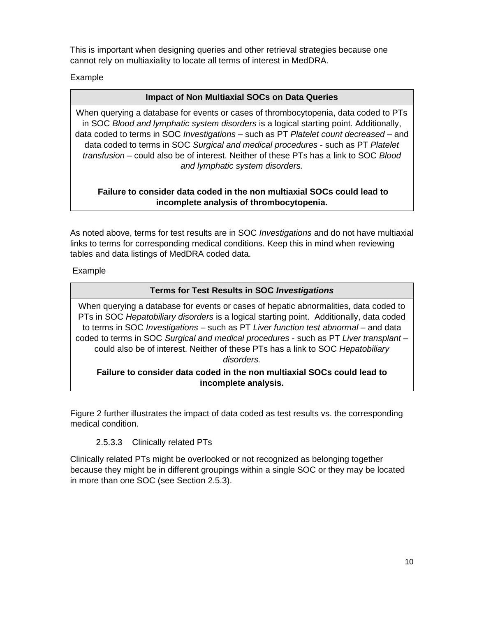This is important when designing queries and other retrieval strategies because one cannot rely on multiaxiality to locate all terms of interest in MedDRA.

Example

#### **Impact of Non Multiaxial SOCs on Data Queries**

When querying a database for events or cases of thrombocytopenia, data coded to PTs in SOC *Blood and lymphatic system disorders* is a logical starting point. Additionally, data coded to terms in SOC *Investigations* – such as PT *Platelet count decreased* – and data coded to terms in SOC *Surgical and medical procedures* - such as PT *Platelet transfusion* – could also be of interest. Neither of these PTs has a link to SOC *Blood and lymphatic system disorders.* 

#### **Failure to consider data coded in the non multiaxial SOCs could lead to incomplete analysis of thrombocytopenia.**

As noted above, terms for test results are in SOC *Investigations* and do not have multiaxial links to terms for corresponding medical conditions. Keep this in mind when reviewing tables and data listings of MedDRA coded data.

#### Example

#### **Terms for Test Results in SOC** *Investigations*

When querying a database for events or cases of hepatic abnormalities, data coded to PTs in SOC *Hepatobiliary disorders* is a logical starting point. Additionally, data coded to terms in SOC *Investigations* – such as PT *Liver function test abnormal* – and data coded to terms in SOC *Surgical and medical procedures* - such as PT *Liver transplant* – could also be of interest. Neither of these PTs has a link to SOC *Hepatobiliary disorders.* 

#### **Failure to consider data coded in the non multiaxial SOCs could lead to incomplete analysis.**

Figure 2 further illustrates the impact of data coded as test results vs. the corresponding medical condition.

#### 2.5.3.3 Clinically related PTs

Clinically related PTs might be overlooked or not recognized as belonging together because they might be in different groupings within a single SOC or they may be located in more than one SOC (see Section 2.5.3).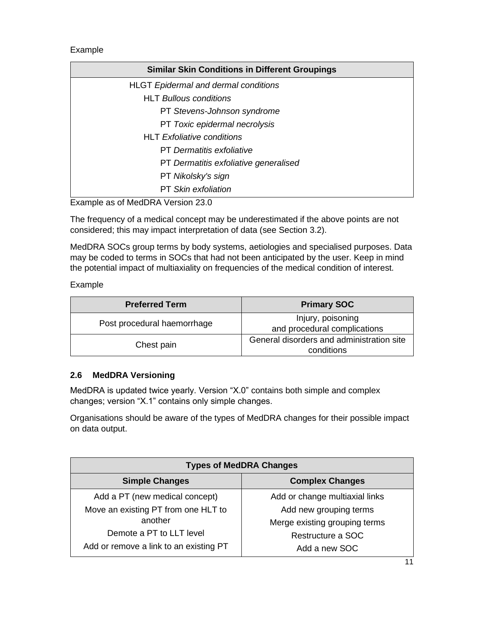Example

| <b>Similar Skin Conditions in Different Groupings</b> |
|-------------------------------------------------------|
| <b>HLGT Epidermal and dermal conditions</b>           |
| <b>HLT Bullous conditions</b>                         |
| PT Stevens-Johnson syndrome                           |
| PT Toxic epidermal necrolysis                         |
| <b>HLT</b> Exfoliative conditions                     |
| <b>PT</b> Dermatitis exfoliative                      |
| PT Dermatitis exfoliative generalised                 |
| PT Nikolsky's sign                                    |
| <b>PT</b> Skin exfoliation                            |

Example as of MedDRA Version 23.0

The frequency of a medical concept may be underestimated if the above points are not considered; this may impact interpretation of data (see Section 3.2).

MedDRA SOCs group terms by body systems, aetiologies and specialised purposes. Data may be coded to terms in SOCs that had not been anticipated by the user. Keep in mind the potential impact of multiaxiality on frequencies of the medical condition of interest.

Example

| <b>Preferred Term</b>       | <b>Primary SOC</b>                                      |
|-----------------------------|---------------------------------------------------------|
| Post procedural haemorrhage | Injury, poisoning<br>and procedural complications       |
| Chest pain                  | General disorders and administration site<br>conditions |

# **2.6 MedDRA Versioning**

MedDRA is updated twice yearly. Version "X.0" contains both simple and complex changes; version "X.1" contains only simple changes.

Organisations should be aware of the types of MedDRA changes for their possible impact on data output.

| <b>Types of MedDRA Changes</b>         |                                |  |
|----------------------------------------|--------------------------------|--|
| <b>Simple Changes</b>                  | <b>Complex Changes</b>         |  |
| Add a PT (new medical concept)         | Add or change multiaxial links |  |
| Move an existing PT from one HLT to    | Add new grouping terms         |  |
| another                                | Merge existing grouping terms  |  |
| Demote a PT to LLT level               | Restructure a SOC              |  |
| Add or remove a link to an existing PT | Add a new SOC                  |  |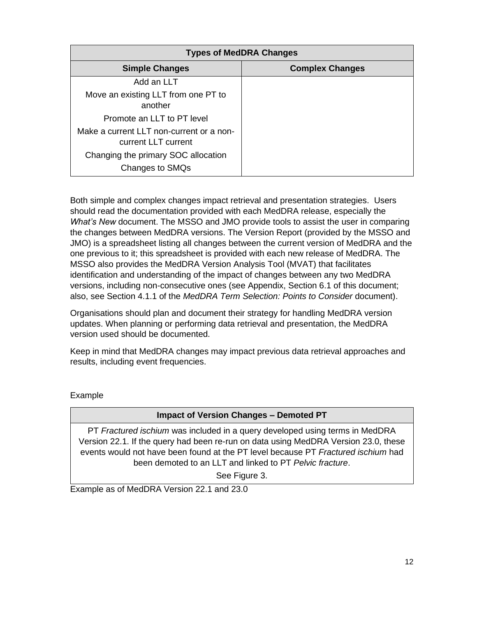| <b>Types of MedDRA Changes</b>                                  |                        |  |
|-----------------------------------------------------------------|------------------------|--|
| <b>Simple Changes</b>                                           | <b>Complex Changes</b> |  |
| Add an LLT                                                      |                        |  |
| Move an existing LLT from one PT to<br>another                  |                        |  |
| Promote an LLT to PT level                                      |                        |  |
| Make a current LLT non-current or a non-<br>current LLT current |                        |  |
| Changing the primary SOC allocation<br>Changes to SMQs          |                        |  |

Both simple and complex changes impact retrieval and presentation strategies. Users should read the documentation provided with each MedDRA release, especially the *What's New* document. The MSSO and JMO provide tools to assist the user in comparing the changes between MedDRA versions. The Version Report (provided by the MSSO and JMO) is a spreadsheet listing all changes between the current version of MedDRA and the one previous to it; this spreadsheet is provided with each new release of MedDRA. The MSSO also provides the MedDRA Version Analysis Tool (MVAT) that facilitates identification and understanding of the impact of changes between any two MedDRA versions, including non-consecutive ones (see Appendix, Section 6.1 of this document; also, see Section 4.1.1 of the *MedDRA Term Selection: Points to Consider* document).

Organisations should plan and document their strategy for handling MedDRA version updates. When planning or performing data retrieval and presentation, the MedDRA version used should be documented.

Keep in mind that MedDRA changes may impact previous data retrieval approaches and results, including event frequencies.

Example

#### **Impact of Version Changes – Demoted PT**

PT *Fractured ischium* was included in a query developed using terms in MedDRA Version 22.1. If the query had been re-run on data using MedDRA Version 23.0, these events would not have been found at the PT level because PT *Fractured ischium* had been demoted to an LLT and linked to PT *Pelvic fracture*.

See Figure 3.

Example as of MedDRA Version 22.1 and 23.0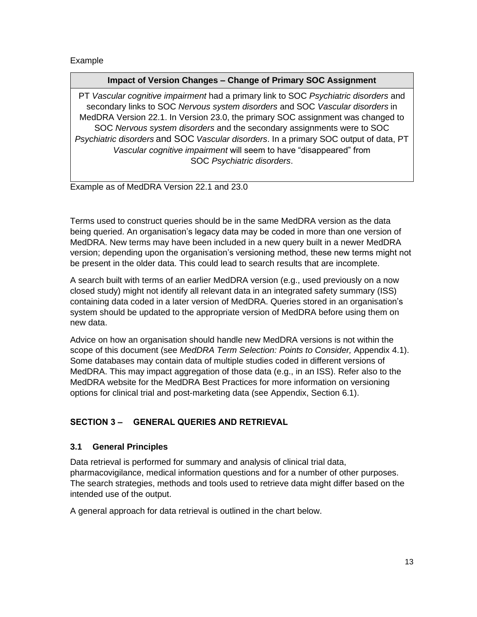Example

#### **Impact of Version Changes – Change of Primary SOC Assignment**

PT *Vascular cognitive impairment* had a primary link to SOC *Psychiatric disorders* and secondary links to SOC *Nervous system disorders* and SOC *Vascular disorders* in MedDRA Version 22.1. In Version 23.0, the primary SOC assignment was changed to SOC *Nervous system disorders* and the secondary assignments were to SOC *Psychiatric disorders* and SOC *Vascular disorders*. In a primary SOC output of data, PT *Vascular cognitive impairment* will seem to have "disappeared" from SOC *Psychiatric disorders*.

Example as of MedDRA Version 22.1 and 23.0

Terms used to construct queries should be in the same MedDRA version as the data being queried. An organisation's legacy data may be coded in more than one version of MedDRA. New terms may have been included in a new query built in a newer MedDRA version; depending upon the organisation's versioning method, these new terms might not be present in the older data. This could lead to search results that are incomplete.

A search built with terms of an earlier MedDRA version (e.g., used previously on a now closed study) might not identify all relevant data in an integrated safety summary (ISS) containing data coded in a later version of MedDRA. Queries stored in an organisation's system should be updated to the appropriate version of MedDRA before using them on new data.

Advice on how an organisation should handle new MedDRA versions is not within the scope of this document (see *MedDRA Term Selection: Points to Consider,* Appendix 4.1). Some databases may contain data of multiple studies coded in different versions of MedDRA. This may impact aggregation of those data (e.g., in an ISS). Refer also to the MedDRA website for the MedDRA Best Practices for more information on versioning options for clinical trial and post-marketing data (see Appendix, Section 6.1).

# **SECTION 3 – GENERAL QUERIES AND RETRIEVAL**

# **3.1 General Principles**

Data retrieval is performed for summary and analysis of clinical trial data, pharmacovigilance, medical information questions and for a number of other purposes. The search strategies, methods and tools used to retrieve data might differ based on the intended use of the output.

A general approach for data retrieval is outlined in the chart below.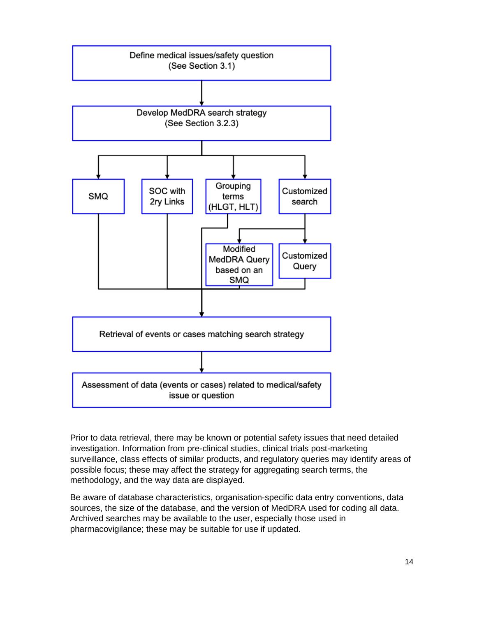

Prior to data retrieval, there may be known or potential safety issues that need detailed investigation. Information from pre-clinical studies, clinical trials post-marketing surveillance, class effects of similar products, and regulatory queries may identify areas of possible focus; these may affect the strategy for aggregating search terms, the methodology, and the way data are displayed.

Be aware of database characteristics, organisation-specific data entry conventions, data sources, the size of the database, and the version of MedDRA used for coding all data. Archived searches may be available to the user, especially those used in pharmacovigilance; these may be suitable for use if updated.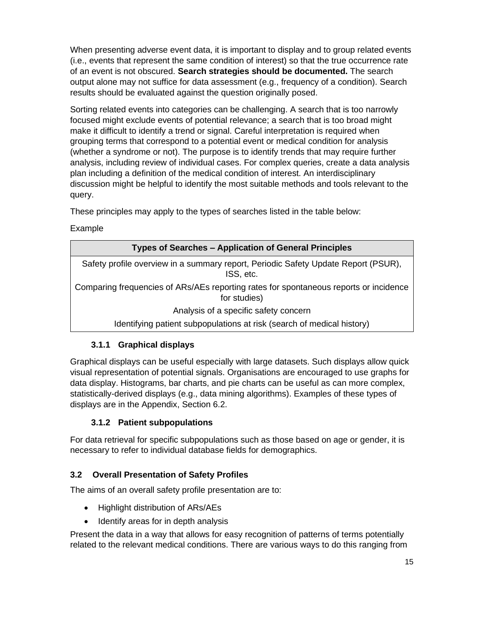When presenting adverse event data, it is important to display and to group related events (i.e., events that represent the same condition of interest) so that the true occurrence rate of an event is not obscured. **Search strategies should be documented.** The search output alone may not suffice for data assessment (e.g., frequency of a condition). Search results should be evaluated against the question originally posed.

Sorting related events into categories can be challenging. A search that is too narrowly focused might exclude events of potential relevance; a search that is too broad might make it difficult to identify a trend or signal. Careful interpretation is required when grouping terms that correspond to a potential event or medical condition for analysis (whether a syndrome or not). The purpose is to identify trends that may require further analysis, including review of individual cases. For complex queries, create a data analysis plan including a definition of the medical condition of interest. An interdisciplinary discussion might be helpful to identify the most suitable methods and tools relevant to the query.

These principles may apply to the types of searches listed in the table below:

Example

| <b>Types of Searches – Application of General Principles</b>                                          |
|-------------------------------------------------------------------------------------------------------|
| Safety profile overview in a summary report, Periodic Safety Update Report (PSUR),<br>ISS, etc.       |
| Comparing frequencies of ARs/AEs reporting rates for spontaneous reports or incidence<br>for studies) |
| Analysis of a specific safety concern                                                                 |
| Identifying patient subpopulations at risk (search of medical history)                                |

# **3.1.1 Graphical displays**

Graphical displays can be useful especially with large datasets. Such displays allow quick visual representation of potential signals. Organisations are encouraged to use graphs for data display. Histograms, bar charts, and pie charts can be useful as can more complex, statistically-derived displays (e.g., data mining algorithms). Examples of these types of displays are in the Appendix, Section 6.2.

# **3.1.2 Patient subpopulations**

For data retrieval for specific subpopulations such as those based on age or gender, it is necessary to refer to individual database fields for demographics.

# **3.2 Overall Presentation of Safety Profiles**

The aims of an overall safety profile presentation are to:

- Highlight distribution of ARs/AEs
- Identify areas for in depth analysis

Present the data in a way that allows for easy recognition of patterns of terms potentially related to the relevant medical conditions. There are various ways to do this ranging from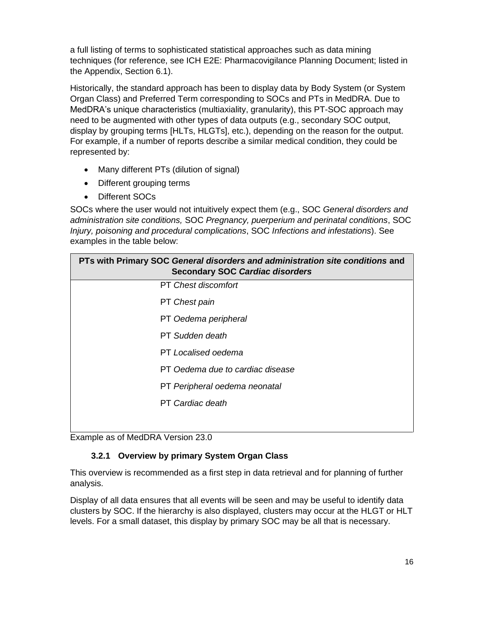a full listing of terms to sophisticated statistical approaches such as data mining techniques (for reference, see ICH E2E: Pharmacovigilance Planning Document; listed in the Appendix, Section 6.1).

Historically, the standard approach has been to display data by Body System (or System Organ Class) and Preferred Term corresponding to SOCs and PTs in MedDRA. Due to MedDRA's unique characteristics (multiaxiality, granularity), this PT-SOC approach may need to be augmented with other types of data outputs (e.g., secondary SOC output, display by grouping terms [HLTs, HLGTs], etc.), depending on the reason for the output. For example, if a number of reports describe a similar medical condition, they could be represented by:

- Many different PTs (dilution of signal)
- Different grouping terms
- Different SOCs

SOCs where the user would not intuitively expect them (e.g., SOC *General disorders and administration site conditions,* SOC *Pregnancy, puerperium and perinatal conditions*, SOC *Injury, poisoning and procedural complications*, SOC *Infections and infestations*). See examples in the table below:

| PTs with Primary SOC General disorders and administration site conditions and<br><b>Secondary SOC Cardiac disorders</b> |
|-------------------------------------------------------------------------------------------------------------------------|
| <b>PT</b> Chest discomfort                                                                                              |
| PT Chest pain                                                                                                           |
| PT Oedema peripheral                                                                                                    |
| <b>PT</b> Sudden death                                                                                                  |
| PT Localised oedema                                                                                                     |
| PT Oedema due to cardiac disease                                                                                        |
| PT Peripheral oedema neonatal                                                                                           |
| <b>PT</b> Cardiac death                                                                                                 |
|                                                                                                                         |

Example as of MedDRA Version 23.0

# **3.2.1 Overview by primary System Organ Class**

This overview is recommended as a first step in data retrieval and for planning of further analysis.

Display of all data ensures that all events will be seen and may be useful to identify data clusters by SOC. If the hierarchy is also displayed, clusters may occur at the HLGT or HLT levels. For a small dataset, this display by primary SOC may be all that is necessary.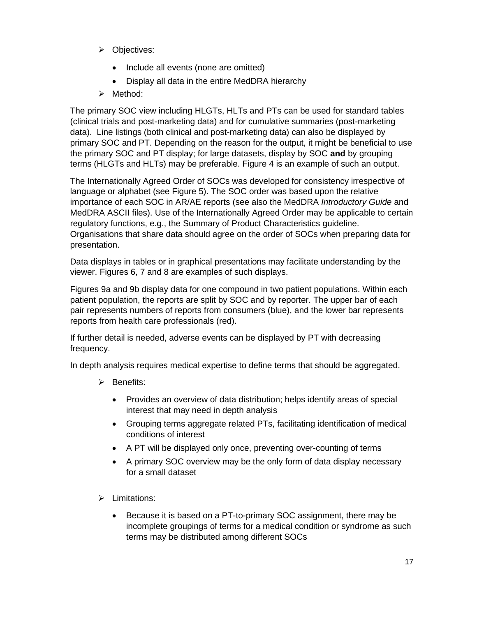- ➢ Objectives:
	- Include all events (none are omitted)
	- Display all data in the entire MedDRA hierarchy
- ➢ Method:

The primary SOC view including HLGTs, HLTs and PTs can be used for standard tables (clinical trials and post-marketing data) and for cumulative summaries (post-marketing data). Line listings (both clinical and post-marketing data) can also be displayed by primary SOC and PT. Depending on the reason for the output, it might be beneficial to use the primary SOC and PT display; for large datasets, display by SOC **and** by grouping terms (HLGTs and HLTs) may be preferable. Figure 4 is an example of such an output.

The Internationally Agreed Order of SOCs was developed for consistency irrespective of language or alphabet (see Figure 5). The SOC order was based upon the relative importance of each SOC in AR/AE reports (see also the MedDRA *Introductory Guide* and MedDRA ASCII files). Use of the Internationally Agreed Order may be applicable to certain regulatory functions, e.g., the Summary of Product Characteristics guideline. Organisations that share data should agree on the order of SOCs when preparing data for presentation.

Data displays in tables or in graphical presentations may facilitate understanding by the viewer. Figures 6, 7 and 8 are examples of such displays.

Figures 9a and 9b display data for one compound in two patient populations. Within each patient population, the reports are split by SOC and by reporter. The upper bar of each pair represents numbers of reports from consumers (blue), and the lower bar represents reports from health care professionals (red).

If further detail is needed, adverse events can be displayed by PT with decreasing frequency.

In depth analysis requires medical expertise to define terms that should be aggregated.

- ➢ Benefits:
	- Provides an overview of data distribution; helps identify areas of special interest that may need in depth analysis
	- Grouping terms aggregate related PTs, facilitating identification of medical conditions of interest
	- A PT will be displayed only once, preventing over-counting of terms
	- A primary SOC overview may be the only form of data display necessary for a small dataset
- ➢ Limitations:
	- Because it is based on a PT-to-primary SOC assignment, there may be incomplete groupings of terms for a medical condition or syndrome as such terms may be distributed among different SOCs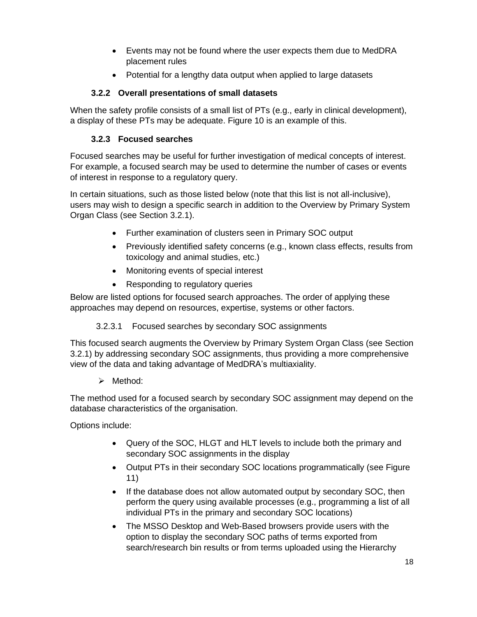- Events may not be found where the user expects them due to MedDRA placement rules
- Potential for a lengthy data output when applied to large datasets

# **3.2.2 Overall presentations of small datasets**

When the safety profile consists of a small list of PTs (e.g., early in clinical development), a display of these PTs may be adequate. Figure 10 is an example of this.

# **3.2.3 Focused searches**

Focused searches may be useful for further investigation of medical concepts of interest. For example, a focused search may be used to determine the number of cases or events of interest in response to a regulatory query.

In certain situations, such as those listed below (note that this list is not all-inclusive), users may wish to design a specific search in addition to the Overview by Primary System Organ Class (see Section 3.2.1).

- Further examination of clusters seen in Primary SOC output
- Previously identified safety concerns (e.g., known class effects, results from toxicology and animal studies, etc.)
- Monitoring events of special interest
- Responding to regulatory queries

Below are listed options for focused search approaches. The order of applying these approaches may depend on resources, expertise, systems or other factors.

# 3.2.3.1 Focused searches by secondary SOC assignments

This focused search augments the Overview by Primary System Organ Class (see Section 3.2.1) by addressing secondary SOC assignments, thus providing a more comprehensive view of the data and taking advantage of MedDRA's multiaxiality.

➢ Method:

The method used for a focused search by secondary SOC assignment may depend on the database characteristics of the organisation.

Options include:

- Query of the SOC, HLGT and HLT levels to include both the primary and secondary SOC assignments in the display
- Output PTs in their secondary SOC locations programmatically (see Figure 11)
- If the database does not allow automated output by secondary SOC, then perform the query using available processes (e.g., programming a list of all individual PTs in the primary and secondary SOC locations)
- The MSSO Desktop and Web-Based browsers provide users with the option to display the secondary SOC paths of terms exported from search/research bin results or from terms uploaded using the Hierarchy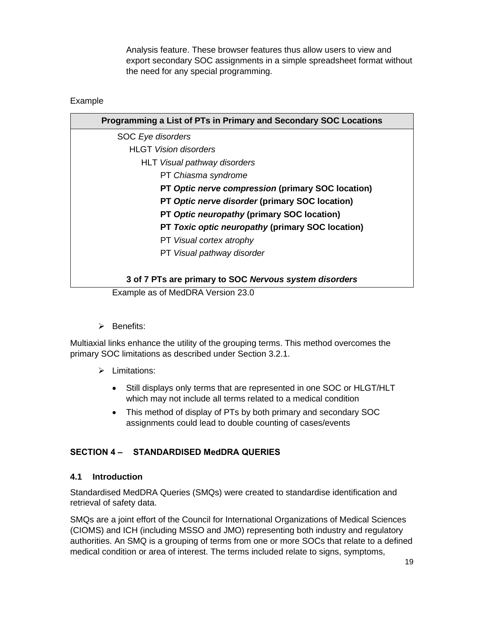Analysis feature. These browser features thus allow users to view and export secondary SOC assignments in a simple spreadsheet format without the need for any special programming.

#### Example

| Programming a List of PTs in Primary and Secondary SOC Locations |
|------------------------------------------------------------------|
| SOC Eye disorders                                                |
| <b>HLGT</b> Vision disorders                                     |
| <b>HLT</b> Visual pathway disorders                              |
| PT Chiasma syndrome                                              |
| PT Optic nerve compression (primary SOC location)                |
| PT Optic nerve disorder (primary SOC location)                   |
| PT Optic neuropathy (primary SOC location)                       |
| PT Toxic optic neuropathy (primary SOC location)                 |
| PT Visual cortex atrophy                                         |
| PT Visual pathway disorder                                       |
|                                                                  |
| 3 of 7 PTs are primary to SOC Nervous system disorders           |
| Example as of MedDRA Version 23.0                                |

➢ Benefits:

Multiaxial links enhance the utility of the grouping terms. This method overcomes the primary SOC limitations as described under Section 3.2.1.

- ➢ Limitations:
	- Still displays only terms that are represented in one SOC or HLGT/HLT which may not include all terms related to a medical condition
	- This method of display of PTs by both primary and secondary SOC assignments could lead to double counting of cases/events

#### **SECTION 4 – STANDARDISED MedDRA QUERIES**

#### **4.1 Introduction**

Standardised MedDRA Queries (SMQs) were created to standardise identification and retrieval of safety data.

SMQs are a joint effort of the Council for International Organizations of Medical Sciences (CIOMS) and ICH (including MSSO and JMO) representing both industry and regulatory authorities. An SMQ is a grouping of terms from one or more SOCs that relate to a defined medical condition or area of interest. The terms included relate to signs, symptoms,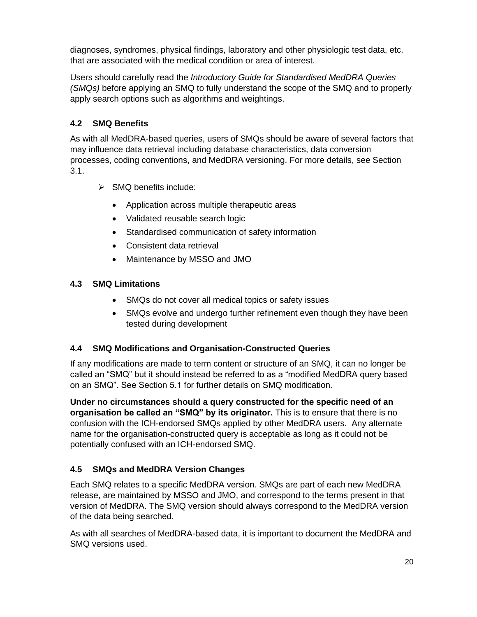diagnoses, syndromes, physical findings, laboratory and other physiologic test data, etc. that are associated with the medical condition or area of interest.

Users should carefully read the *Introductory Guide for Standardised MedDRA Queries (SMQs)* before applying an SMQ to fully understand the scope of the SMQ and to properly apply search options such as algorithms and weightings.

# **4.2 SMQ Benefits**

As with all MedDRA-based queries, users of SMQs should be aware of several factors that may influence data retrieval including database characteristics, data conversion processes, coding conventions, and MedDRA versioning. For more details, see Section 3.1.

- $\triangleright$  SMO benefits include:
	- Application across multiple therapeutic areas
	- Validated reusable search logic
	- Standardised communication of safety information
	- Consistent data retrieval
	- Maintenance by MSSO and JMO

# **4.3 SMQ Limitations**

- SMQs do not cover all medical topics or safety issues
- SMQs evolve and undergo further refinement even though they have been tested during development

# **4.4 SMQ Modifications and Organisation-Constructed Queries**

If any modifications are made to term content or structure of an SMQ, it can no longer be called an "SMQ" but it should instead be referred to as a "modified MedDRA query based on an SMQ". See Section 5.1 for further details on SMQ modification.

**Under no circumstances should a query constructed for the specific need of an organisation be called an "SMQ" by its originator.** This is to ensure that there is no confusion with the ICH-endorsed SMQs applied by other MedDRA users. Any alternate name for the organisation-constructed query is acceptable as long as it could not be potentially confused with an ICH-endorsed SMQ.

# **4.5 SMQs and MedDRA Version Changes**

Each SMQ relates to a specific MedDRA version. SMQs are part of each new MedDRA release, are maintained by MSSO and JMO, and correspond to the terms present in that version of MedDRA. The SMQ version should always correspond to the MedDRA version of the data being searched.

As with all searches of MedDRA-based data, it is important to document the MedDRA and SMQ versions used.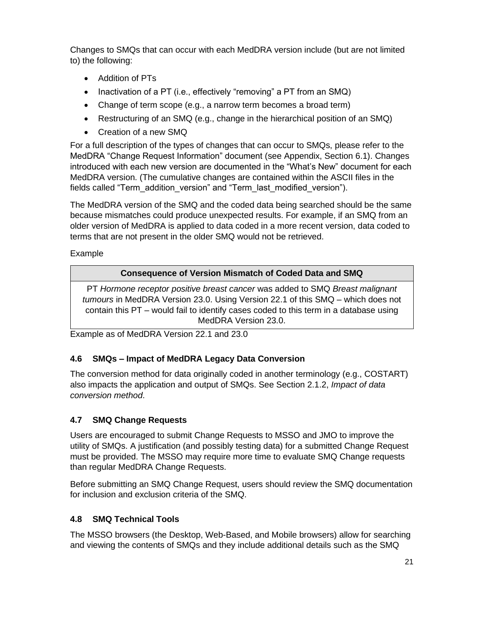Changes to SMQs that can occur with each MedDRA version include (but are not limited to) the following:

- Addition of PTs
- Inactivation of a PT (i.e., effectively "removing" a PT from an SMQ)
- Change of term scope (e.g., a narrow term becomes a broad term)
- Restructuring of an SMQ (e.g., change in the hierarchical position of an SMQ)
- Creation of a new SMQ

For a full description of the types of changes that can occur to SMQs, please refer to the MedDRA "Change Request Information" document (see Appendix, Section 6.1). Changes introduced with each new version are documented in the "What's New" document for each MedDRA version. (The cumulative changes are contained within the ASCII files in the fields called "Term\_addition\_version" and "Term\_last\_modified\_version").

The MedDRA version of the SMQ and the coded data being searched should be the same because mismatches could produce unexpected results. For example, if an SMQ from an older version of MedDRA is applied to data coded in a more recent version, data coded to terms that are not present in the older SMQ would not be retrieved.

Example

# **Consequence of Version Mismatch of Coded Data and SMQ**

PT *Hormone receptor positive breast cancer* was added to SMQ *Breast malignant tumours* in MedDRA Version 23.0. Using Version 22.1 of this SMQ – which does not contain this PT – would fail to identify cases coded to this term in a database using MedDRA Version 23.0.

Example as of MedDRA Version 22.1 and 23.0

# **4.6 SMQs – Impact of MedDRA Legacy Data Conversion**

The conversion method for data originally coded in another terminology (e.g., COSTART) also impacts the application and output of SMQs. See Section 2.1.2, *Impact of data conversion method*.

# **4.7 SMQ Change Requests**

Users are encouraged to submit Change Requests to MSSO and JMO to improve the utility of SMQs. A justification (and possibly testing data) for a submitted Change Request must be provided. The MSSO may require more time to evaluate SMQ Change requests than regular MedDRA Change Requests.

Before submitting an SMQ Change Request, users should review the SMQ documentation for inclusion and exclusion criteria of the SMQ.

# **4.8 SMQ Technical Tools**

The MSSO browsers (the Desktop, Web-Based, and Mobile browsers) allow for searching and viewing the contents of SMQs and they include additional details such as the SMQ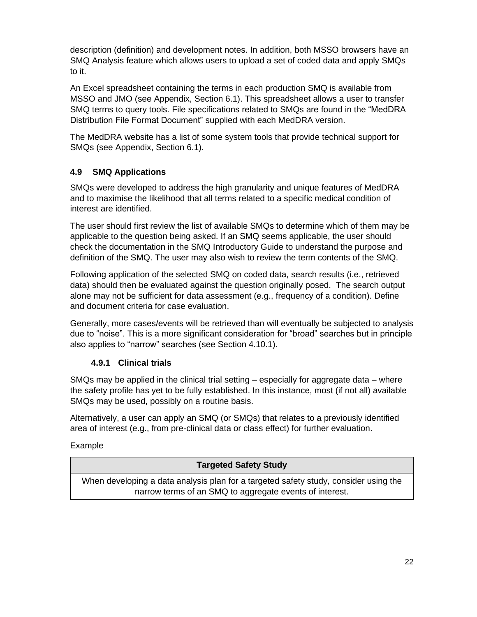description (definition) and development notes. In addition, both MSSO browsers have an SMQ Analysis feature which allows users to upload a set of coded data and apply SMQs to it.

An Excel spreadsheet containing the terms in each production SMQ is available from MSSO and JMO (see Appendix, Section 6.1). This spreadsheet allows a user to transfer SMQ terms to query tools. File specifications related to SMQs are found in the "MedDRA Distribution File Format Document" supplied with each MedDRA version.

The MedDRA website has a list of some system tools that provide technical support for SMQs [\(see](http://meddramsso.com/subscriber_download_tools_thirdparty.asp) Appendix, Section 6.1).

# **4.9 SMQ Applications**

SMQs were developed to address the high granularity and unique features of MedDRA and to maximise the likelihood that all terms related to a specific medical condition of interest are identified.

The user should first review the list of available SMQs to determine which of them may be applicable to the question being asked. If an SMQ seems applicable, the user should check the documentation in the SMQ Introductory Guide to understand the purpose and definition of the SMQ. The user may also wish to review the term contents of the SMQ.

Following application of the selected SMQ on coded data, search results (i.e., retrieved data) should then be evaluated against the question originally posed. The search output alone may not be sufficient for data assessment (e.g., frequency of a condition). Define and document criteria for case evaluation.

Generally, more cases/events will be retrieved than will eventually be subjected to analysis due to "noise". This is a more significant consideration for "broad" searches but in principle also applies to "narrow" searches (see Section 4.10.1).

# **4.9.1 Clinical trials**

SMQs may be applied in the clinical trial setting – especially for aggregate data – where the safety profile has yet to be fully established. In this instance, most (if not all) available SMQs may be used, possibly on a routine basis.

Alternatively, a user can apply an SMQ (or SMQs) that relates to a previously identified area of interest (e.g., from pre-clinical data or class effect) for further evaluation.

# Example

| <b>Targeted Safety Study</b>                                                                                                                    |  |
|-------------------------------------------------------------------------------------------------------------------------------------------------|--|
| When developing a data analysis plan for a targeted safety study, consider using the<br>narrow terms of an SMQ to aggregate events of interest. |  |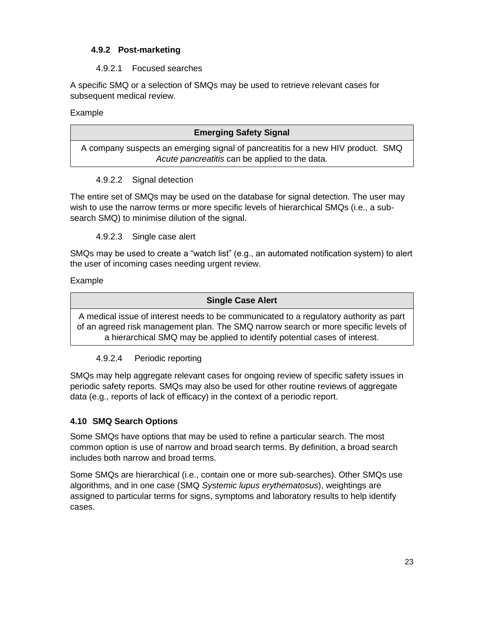# **4.9.2 Post-marketing**

#### 4.9.2.1 Focused searches

A specific SMQ or a selection of SMQs may be used to retrieve relevant cases for subsequent medical review.

Example

| <b>Emerging Safety Signal</b>                                                    |  |
|----------------------------------------------------------------------------------|--|
| A company suspects an emerging signal of pancreatitis for a new HIV product. SMQ |  |
| Acute pancreatitis can be applied to the data.                                   |  |
|                                                                                  |  |

#### 4.9.2.2 Signal detection

The entire set of SMQs may be used on the database for signal detection. The user may wish to use the narrow terms or more specific levels of hierarchical SMQs (i.e., a subsearch SMQ) to minimise dilution of the signal.

4.9.2.3 Single case alert

SMQs may be used to create a "watch list" (e.g., an automated notification system) to alert the user of incoming cases needing urgent review.

Example

#### **Single Case Alert**

A medical issue of interest needs to be communicated to a regulatory authority as part of an agreed risk management plan. The SMQ narrow search or more specific levels of a hierarchical SMQ may be applied to identify potential cases of interest.

# 4.9.2.4 Periodic reporting

SMQs may help aggregate relevant cases for ongoing review of specific safety issues in periodic safety reports. SMQs may also be used for other routine reviews of aggregate data (e.g., reports of lack of efficacy) in the context of a periodic report.

# **4.10 SMQ Search Options**

Some SMQs have options that may be used to refine a particular search. The most common option is use of narrow and broad search terms. By definition, a broad search includes both narrow and broad terms.

Some SMQs are hierarchical (i.e., contain one or more sub-searches). Other SMQs use algorithms, and in one case (SMQ *Systemic lupus erythematosus*), weightings are assigned to particular terms for signs, symptoms and laboratory results to help identify cases.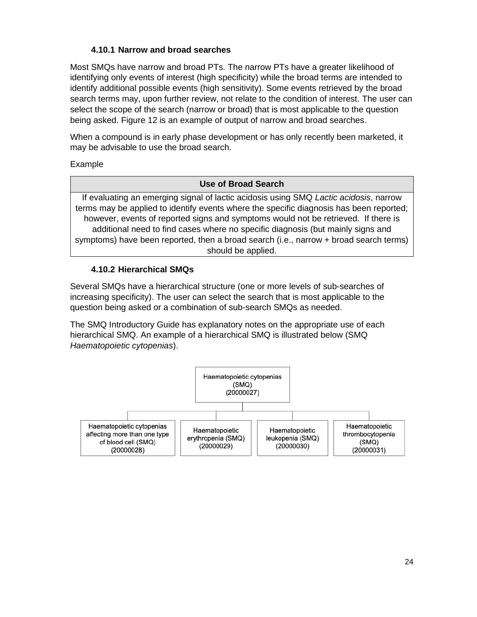# **4.10.1 Narrow and broad searches**

Most SMQs have narrow and broad PTs. The narrow PTs have a greater likelihood of identifying only events of interest (high specificity) while the broad terms are intended to identify additional possible events (high sensitivity). Some events retrieved by the broad search terms may, upon further review, not relate to the condition of interest. The user can select the scope of the search (narrow or broad) that is most applicable to the question being asked. Figure 12 is an example of output of narrow and broad searches.

When a compound is in early phase development or has only recently been marketed, it may be advisable to use the broad search.

Example

#### **Use of Broad Search**

If evaluating an emerging signal of lactic acidosis using SMQ *Lactic acidosis*, narrow terms may be applied to identify events where the specific diagnosis has been reported; however, events of reported signs and symptoms would not be retrieved. If there is additional need to find cases where no specific diagnosis (but mainly signs and symptoms) have been reported, then a broad search (i.e., narrow + broad search terms) should be applied.

#### **4.10.2 Hierarchical SMQs**

Several SMQs have a hierarchical structure (one or more levels of sub-searches of increasing specificity). The user can select the search that is most applicable to the question being asked or a combination of sub-search SMQs as needed.

The SMQ Introductory Guide has explanatory notes on the appropriate use of each hierarchical SMQ. An example of a hierarchical SMQ is illustrated below (SMQ *Haematopoietic cytopenias*).

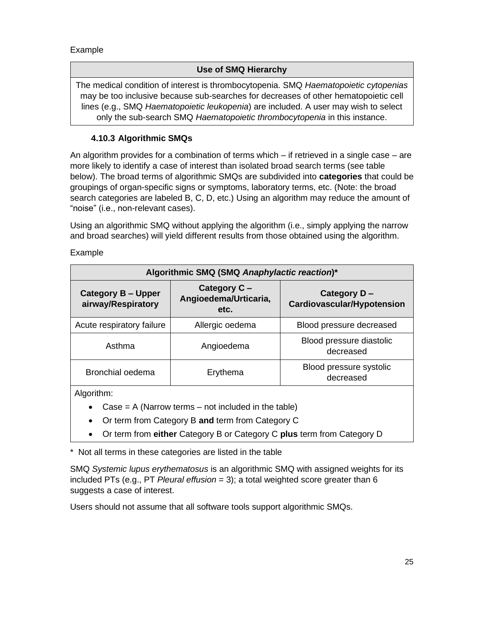Example

#### **Use of SMQ Hierarchy**

The medical condition of interest is thrombocytopenia. SMQ *Haematopoietic cytopenias* may be too inclusive because sub-searches for decreases of other hematopoietic cell lines (e.g., SMQ *Haematopoietic leukopenia*) are included. A user may wish to select only the sub-search SMQ *Haematopoietic thrombocytopenia* in this instance.

#### **4.10.3 Algorithmic SMQs**

An algorithm provides for a combination of terms which – if retrieved in a single case – are more likely to identify a case of interest than isolated broad search terms (see table below). The broad terms of algorithmic SMQs are subdivided into **categories** that could be groupings of organ-specific signs or symptoms, laboratory terms, etc. (Note: the broad search categories are labeled B, C, D, etc.) Using an algorithm may reduce the amount of "noise" (i.e., non-relevant cases).

Using an algorithmic SMQ without applying the algorithm (i.e., simply applying the narrow and broad searches) will yield different results from those obtained using the algorithm.

| Algorithmic SMQ (SMQ Anaphylactic reaction)*    |                                                          |                                                  |  |  |
|-------------------------------------------------|----------------------------------------------------------|--------------------------------------------------|--|--|
| <b>Category B - Upper</b><br>airway/Respiratory | Category C -<br>Angioedema/Urticaria,<br>etc.            | Category D-<br><b>Cardiovascular/Hypotension</b> |  |  |
| Acute respiratory failure                       | Allergic oedema                                          | Blood pressure decreased                         |  |  |
| Asthma                                          | Angioedema                                               | Blood pressure diastolic<br>decreased            |  |  |
| <b>Bronchial oedema</b>                         | Blood pressure systolic<br>Erythema<br>decreased         |                                                  |  |  |
| Algorithm:                                      |                                                          |                                                  |  |  |
| $\sim$ $ -$                                     | A /Alexandro texas entranced to clouded to the teachers' |                                                  |  |  |

Example

 $Case = A (Narrow terms - not included in the table)$ 

- Or term from Category B **and** term from Category C
- Or term from **either** Category B or Category C **plus** term from Category D

\* Not all terms in these categories are listed in the table

SMQ *Systemic lupus erythematosus* is an algorithmic SMQ with assigned weights for its included PTs (e.g., PT *Pleural effusion* = 3); a total weighted score greater than 6 suggests a case of interest.

Users should not assume that all software tools support algorithmic SMQs.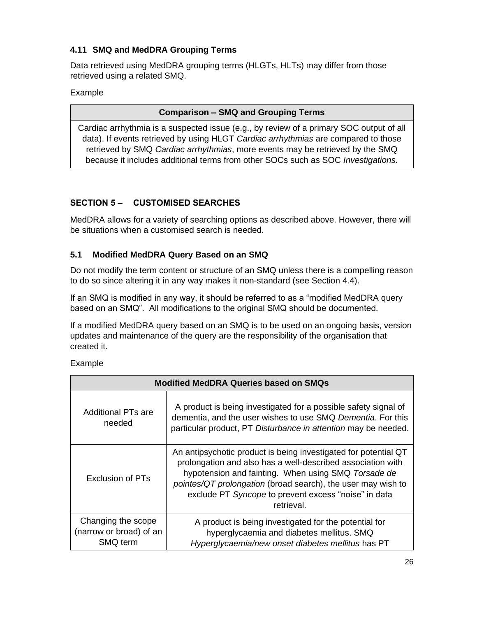# **4.11 SMQ and MedDRA Grouping Terms**

Data retrieved using MedDRA grouping terms (HLGTs, HLTs) may differ from those retrieved using a related SMQ.

#### Example

#### **Comparison – SMQ and Grouping Terms**

Cardiac arrhythmia is a suspected issue (e.g., by review of a primary SOC output of all data). If events retrieved by using HLGT *Cardiac arrhythmias* are compared to those retrieved by SMQ *Cardiac arrhythmias*, more events may be retrieved by the SMQ because it includes additional terms from other SOCs such as SOC *Investigations.*

# **SECTION 5 – CUSTOMISED SEARCHES**

MedDRA allows for a variety of searching options as described above. However, there will be situations when a customised search is needed.

# **5.1 Modified MedDRA Query Based on an SMQ**

Do not modify the term content or structure of an SMQ unless there is a compelling reason to do so since altering it in any way makes it non-standard (see Section 4.4).

If an SMQ is modified in any way, it should be referred to as a "modified MedDRA query based on an SMQ". All modifications to the original SMQ should be documented.

If a modified MedDRA query based on an SMQ is to be used on an ongoing basis, version updates and maintenance of the query are the responsibility of the organisation that created it.

Example

| <b>Modified MedDRA Queries based on SMQs</b>              |                                                                                                                                                                                                                                                                                                                             |  |
|-----------------------------------------------------------|-----------------------------------------------------------------------------------------------------------------------------------------------------------------------------------------------------------------------------------------------------------------------------------------------------------------------------|--|
| Additional PTs are<br>needed                              | A product is being investigated for a possible safety signal of<br>dementia, and the user wishes to use SMQ Dementia. For this<br>particular product, PT Disturbance in attention may be needed.                                                                                                                            |  |
| Exclusion of PTs                                          | An antipsychotic product is being investigated for potential QT<br>prolongation and also has a well-described association with<br>hypotension and fainting. When using SMQ Torsade de<br>pointes/QT prolongation (broad search), the user may wish to<br>exclude PT Syncope to prevent excess "noise" in data<br>retrieval. |  |
| Changing the scope<br>(narrow or broad) of an<br>SMQ term | A product is being investigated for the potential for<br>hyperglycaemia and diabetes mellitus. SMQ<br>Hyperglycaemia/new onset diabetes mellitus has PT                                                                                                                                                                     |  |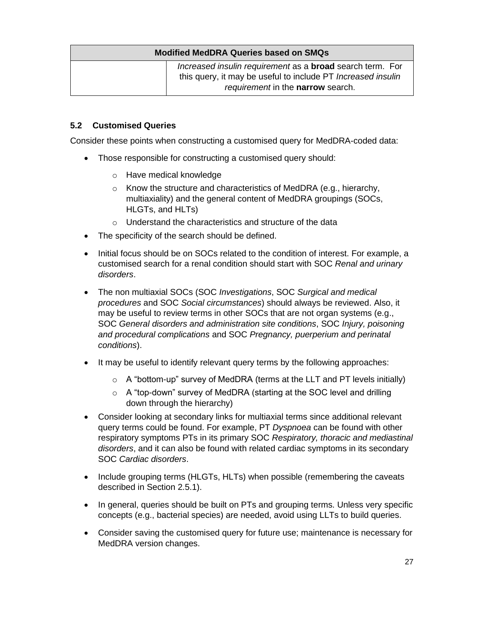| <b>Modified MedDRA Queries based on SMQs</b> |                                                                                                                                                                              |  |  |
|----------------------------------------------|------------------------------------------------------------------------------------------------------------------------------------------------------------------------------|--|--|
|                                              | Increased insulin requirement as a <b>broad</b> search term. For<br>this query, it may be useful to include PT <i>Increased insulin</i><br>requirement in the narrow search. |  |  |

#### **5.2 Customised Queries**

Consider these points when constructing a customised query for MedDRA-coded data:

- Those responsible for constructing a customised query should:
	- o Have medical knowledge
	- o Know the structure and characteristics of MedDRA (e.g., hierarchy, multiaxiality) and the general content of MedDRA groupings (SOCs, HLGTs, and HLTs)
	- o Understand the characteristics and structure of the data
- The specificity of the search should be defined.
- Initial focus should be on SOCs related to the condition of interest. For example, a customised search for a renal condition should start with SOC *Renal and urinary disorders*.
- The non multiaxial SOCs (SOC *Investigations*, SOC *Surgical and medical procedures* and SOC *Social circumstances*) should always be reviewed. Also, it may be useful to review terms in other SOCs that are not organ systems (e.g., SOC *General disorders and administration site conditions*, SOC *Injury, poisoning and procedural complications* and SOC *Pregnancy, puerperium and perinatal conditions*).
- It may be useful to identify relevant query terms by the following approaches:
	- $\circ$  A "bottom-up" survey of MedDRA (terms at the LLT and PT levels initially)
	- o A "top-down" survey of MedDRA (starting at the SOC level and drilling down through the hierarchy)
- Consider looking at secondary links for multiaxial terms since additional relevant query terms could be found. For example, PT *Dyspnoea* can be found with other respiratory symptoms PTs in its primary SOC *Respiratory, thoracic and mediastinal disorders*, and it can also be found with related cardiac symptoms in its secondary SOC *Cardiac disorders*.
- Include grouping terms (HLGTs, HLTs) when possible (remembering the caveats described in Section 2.5.1).
- In general, queries should be built on PTs and grouping terms. Unless very specific concepts (e.g., bacterial species) are needed, avoid using LLTs to build queries.
- Consider saving the customised query for future use; maintenance is necessary for MedDRA version changes.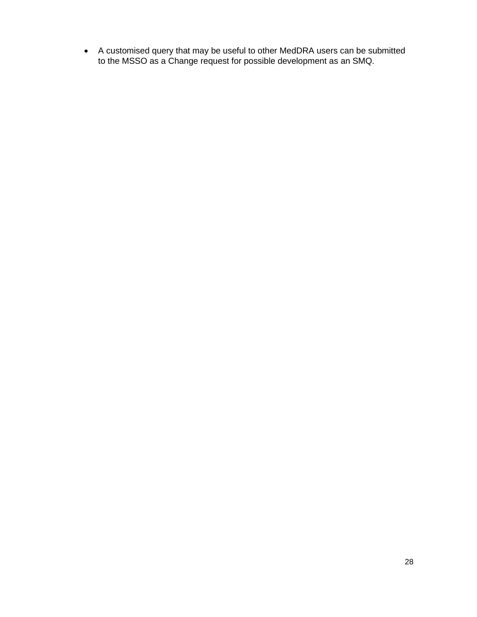• A customised query that may be useful to other MedDRA users can be submitted to the MSSO as a Change request for possible development as an SMQ.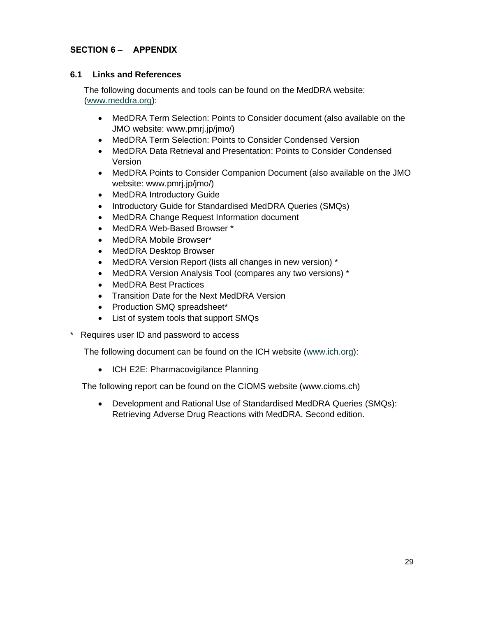#### **SECTION 6 – APPENDIX**

#### **6.1 Links and References**

The following documents and tools can be found on the MedDRA website: [\(www.meddra.org\)](http://www.meddra.org/):

- MedDRA Term Selection: Points to Consider document (also available on the JMO website: www.pmrj.jp/jmo/)
- MedDRA Term Selection: Points to Consider Condensed Version
- MedDRA Data Retrieval and Presentation: Points to Consider Condensed Version
- MedDRA Points to Consider Companion Document (also available on the JMO website: www.pmrj.jp/jmo/)
- MedDRA Introductory Guide
- Introductory Guide for Standardised MedDRA Queries (SMQs)
- MedDRA Change Request Information document
- MedDRA Web-Based Browser \*
- MedDRA Mobile Browser\*
- MedDRA Desktop Browser
- MedDRA Version Report (lists all changes in new version) \*
- MedDRA Version Analysis Tool (compares any two versions) \*
- MedDRA Best Practices
- Transition Date for the Next MedDRA Version
- Production SMQ spreadsheet\*
- List of system tools that support SMQs
- Requires user ID and password to access

The following document can be found on the ICH website [\(www.ich.org\)](http://www.ich.org/):

• ICH E2E: Pharmacovigilance Planning

The following report can be found on the CIOMS website (www.cioms.ch)

• Development and Rational Use of Standardised MedDRA Queries (SMQs): Retrieving Adverse Drug Reactions with MedDRA. Second edition.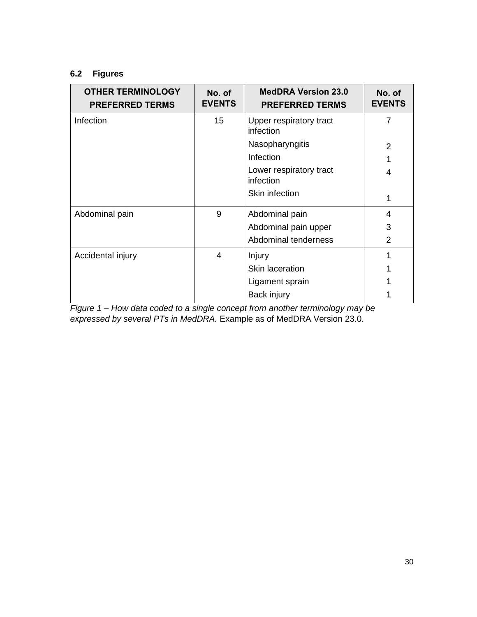#### **6.2 Figures**

| <b>OTHER TERMINOLOGY</b><br><b>PREFERRED TERMS</b> | No. of<br><b>EVENTS</b> | <b>MedDRA Version 23.0</b><br><b>PREFERRED TERMS</b> | No. of<br><b>EVENTS</b> |
|----------------------------------------------------|-------------------------|------------------------------------------------------|-------------------------|
| Infection                                          | 15                      | Upper respiratory tract<br>infection                 | 7                       |
|                                                    |                         | Nasopharyngitis                                      | 2                       |
|                                                    |                         | Infection                                            |                         |
|                                                    |                         | Lower respiratory tract<br>infection                 | 4                       |
|                                                    |                         | Skin infection                                       |                         |
| Abdominal pain                                     | 9                       | Abdominal pain                                       | 4                       |
|                                                    |                         | Abdominal pain upper                                 | 3                       |
|                                                    |                         | Abdominal tenderness                                 | $\mathcal{P}$           |
| Accidental injury                                  | 4                       | Injury                                               |                         |
|                                                    |                         | Skin laceration                                      |                         |
|                                                    |                         | Ligament sprain                                      |                         |
|                                                    |                         | Back injury                                          |                         |

*Figure 1 – How data coded to a single concept from another terminology may be expressed by several PTs in MedDRA.* Example as of MedDRA Version 23.0.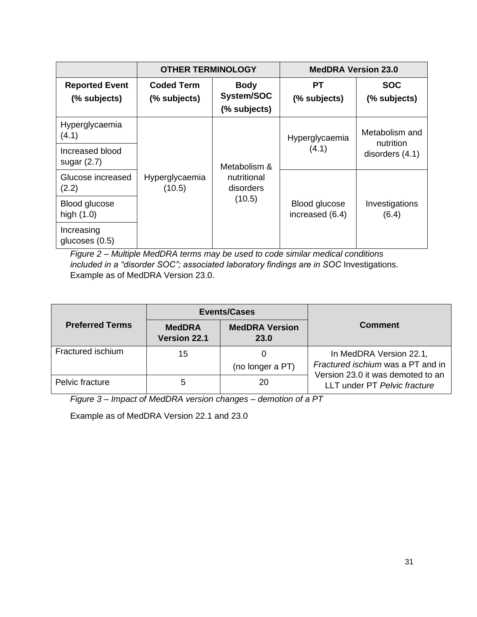|                                       | <b>OTHER TERMINOLOGY</b>          |                                           | <b>MedDRA Version 23.0</b>       |                             |
|---------------------------------------|-----------------------------------|-------------------------------------------|----------------------------------|-----------------------------|
| <b>Reported Event</b><br>(% subjects) | <b>Coded Term</b><br>(% subjects) | <b>Body</b><br>System/SOC<br>(% subjects) | PТ<br>(% subjects)               | <b>SOC</b><br>(% subjects)  |
| Hyperglycaemia<br>(4.1)               |                                   |                                           | Hyperglycaemia                   | Metabolism and<br>nutrition |
| Increased blood<br>sugar $(2.7)$      |                                   | Metabolism &                              | (4.1)                            | disorders (4.1)             |
| Glucose increased<br>(2.2)            | Hyperglycaemia<br>(10.5)          | nutritional<br>disorders                  |                                  |                             |
| Blood glucose<br>high $(1.0)$         |                                   | (10.5)                                    | Blood glucose<br>increased (6.4) | Investigations<br>(6.4)     |
| Increasing<br>glucoses $(0.5)$        |                                   |                                           |                                  |                             |

*Figure 2 – Multiple MedDRA terms may be used to code similar medical conditions*  included in a "disorder SOC"; associated laboratory findings are in SOC Investigations. Example as of MedDRA Version 23.0.

|                        |                                      | <b>Events/Cases</b>                  |                                                                   |
|------------------------|--------------------------------------|--------------------------------------|-------------------------------------------------------------------|
| <b>Preferred Terms</b> | <b>MedDRA</b><br><b>Version 22.1</b> | <b>MedDRA Version</b><br><b>23.0</b> | <b>Comment</b>                                                    |
| Fractured ischium      | 15                                   |                                      | In MedDRA Version 22.1,                                           |
|                        |                                      | (no longer a PT)                     | Fractured ischium was a PT and in                                 |
| Pelvic fracture        | 5                                    | 20                                   | Version 23.0 it was demoted to an<br>LLT under PT Pelvic fracture |

*Figure 3 – Impact of MedDRA version changes – demotion of a PT* 

Example as of MedDRA Version 22.1 and 23.0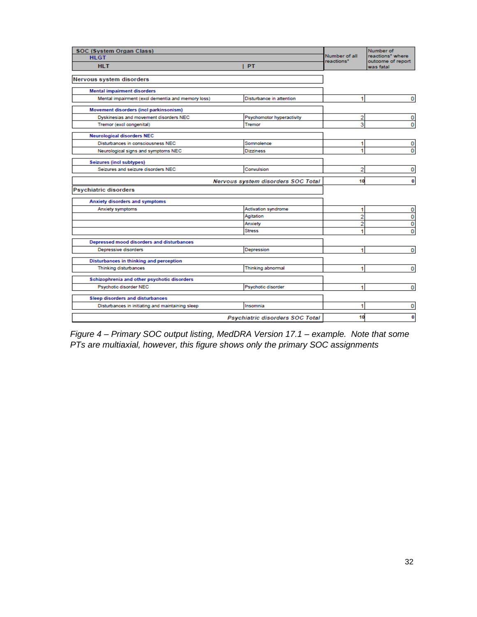| SOC (System Organ Class)                          |                                    |                             | Number of<br>reactions* where |
|---------------------------------------------------|------------------------------------|-----------------------------|-------------------------------|
| <b>HLGT</b>                                       |                                    | Number of all<br>reactions* | outcome of report             |
| <b>HLT</b>                                        | I PT                               |                             | was fatal                     |
| Nervous system disorders                          |                                    |                             |                               |
| <b>Mental impairment disorders</b>                |                                    |                             |                               |
| Mental impairment (excl dementia and memory loss) | Disturbance in attention           | 1                           | 0                             |
| Movement disorders (incl parkinsonism)            |                                    |                             |                               |
| Dyskinesias and movement disorders NEC            | Psychomotor hyperactivity          | 2                           | 0                             |
| Tremor (excl congenital)                          | <b>Tremor</b>                      | 3                           | 0                             |
| <b>Neurological disorders NEC</b>                 |                                    |                             |                               |
| Disturbances in consciousness NEC                 | Somnolence                         | 1                           | 0                             |
| Neurological signs and symptoms NEC               | <b>Dizziness</b>                   | 1                           | 0                             |
| Seizures (incl subtypes)                          |                                    |                             |                               |
| Seizures and seizure disorders NEC                | Convulsion                         | 2                           | 0                             |
|                                                   |                                    |                             |                               |
|                                                   | Nervous system disorders SOC Total | 10                          | 0                             |
| <b>Psychiatric disorders</b>                      |                                    |                             |                               |
| Anxiety disorders and symptoms                    |                                    |                             |                               |
| Anxiety symptoms                                  | <b>Activation syndrome</b>         | 1                           | 0                             |
|                                                   | Agitation                          | 2                           | 0                             |
|                                                   | Anxiety                            | 2                           | 0                             |
|                                                   | <b>Stress</b>                      | 1                           | 0                             |
| Depressed mood disorders and disturbances         |                                    |                             |                               |
| Depressive disorders                              | Depression                         | 1                           | 0                             |
| Disturbances in thinking and perception           |                                    |                             |                               |
| Thinking disturbances                             | <b>Thinking abnormal</b>           | 1                           | 0                             |
| Schizophrenia and other psychotic disorders       |                                    |                             |                               |
| Psychotic disorder NEC                            | Psychotic disorder                 | 1                           | $\mathbf 0$                   |
| <b>Sleep disorders and disturbances</b>           |                                    |                             |                               |
| Disturbances in initiating and maintaining sleep  | Insomnia                           | 1                           | 0                             |
|                                                   | Psychiatric disorders SOC Total    | 10                          | 0                             |

*Figure 4 – Primary SOC output listing, MedDRA Version 17.1 – example. Note that some PTs are multiaxial, however, this figure shows only the primary SOC assignments*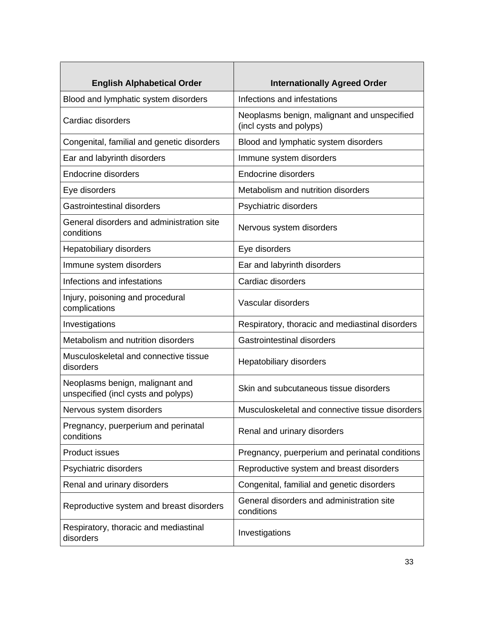| <b>English Alphabetical Order</b>                                      | <b>Internationally Agreed Order</b>                                    |
|------------------------------------------------------------------------|------------------------------------------------------------------------|
| Blood and lymphatic system disorders                                   | Infections and infestations                                            |
| Cardiac disorders                                                      | Neoplasms benign, malignant and unspecified<br>(incl cysts and polyps) |
| Congenital, familial and genetic disorders                             | Blood and lymphatic system disorders                                   |
| Ear and labyrinth disorders                                            | Immune system disorders                                                |
| <b>Endocrine disorders</b>                                             | <b>Endocrine disorders</b>                                             |
| Eye disorders                                                          | Metabolism and nutrition disorders                                     |
| <b>Gastrointestinal disorders</b>                                      | Psychiatric disorders                                                  |
| General disorders and administration site<br>conditions                | Nervous system disorders                                               |
| Hepatobiliary disorders                                                | Eye disorders                                                          |
| Immune system disorders                                                | Ear and labyrinth disorders                                            |
| Infections and infestations                                            | Cardiac disorders                                                      |
| Injury, poisoning and procedural<br>complications                      | Vascular disorders                                                     |
| Investigations                                                         | Respiratory, thoracic and mediastinal disorders                        |
| Metabolism and nutrition disorders                                     | <b>Gastrointestinal disorders</b>                                      |
| Musculoskeletal and connective tissue<br>disorders                     | Hepatobiliary disorders                                                |
| Neoplasms benign, malignant and<br>unspecified (incl cysts and polyps) | Skin and subcutaneous tissue disorders                                 |
| Nervous system disorders                                               | Musculoskeletal and connective tissue disorders                        |
| Pregnancy, puerperium and perinatal<br>conditions                      | Renal and urinary disorders                                            |
| Product issues                                                         | Pregnancy, puerperium and perinatal conditions                         |
| Psychiatric disorders                                                  | Reproductive system and breast disorders                               |
| Renal and urinary disorders                                            | Congenital, familial and genetic disorders                             |
| Reproductive system and breast disorders                               | General disorders and administration site<br>conditions                |
| Respiratory, thoracic and mediastinal<br>disorders                     | Investigations                                                         |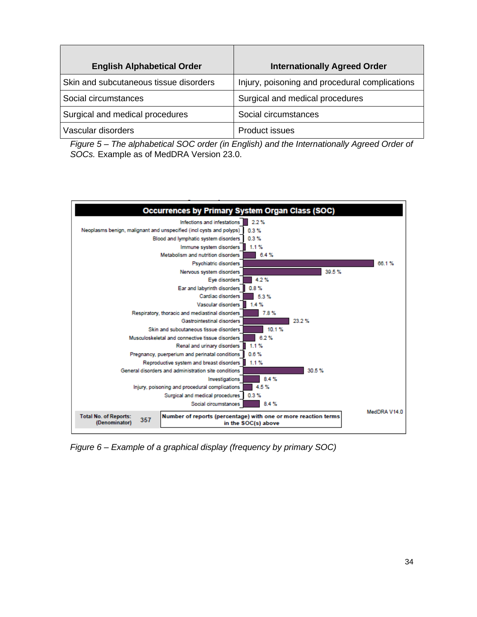| <b>English Alphabetical Order</b>      | <b>Internationally Agreed Order</b>            |
|----------------------------------------|------------------------------------------------|
| Skin and subcutaneous tissue disorders | Injury, poisoning and procedural complications |
| Social circumstances                   | Surgical and medical procedures                |
| Surgical and medical procedures        | Social circumstances                           |
| Vascular disorders                     | <b>Product issues</b>                          |

*Figure 5 – The alphabetical SOC order (in English) and the Internationally Agreed Order of SOCs.* Example as of MedDRA Version 23.0.



*Figure 6 – Example of a graphical display (frequency by primary SOC)*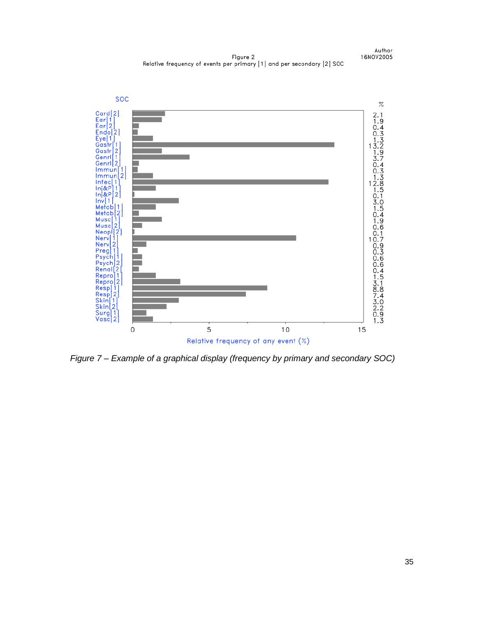Figure 2 Relative frequency of events per primary [1] and per secondary [2] SOC





*Figure 7 – Example of a graphical display (frequency by primary and secondary SOC)*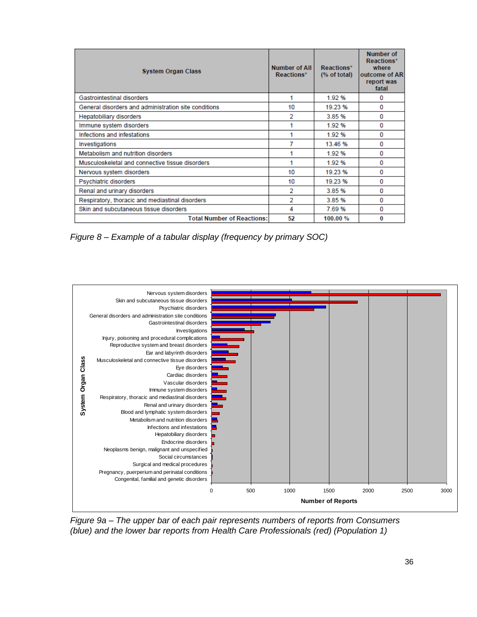| <b>System Organ Class</b>                            | Number of All<br>Reactions* | Reactions*<br>$%$ of total) | <b>Number of</b><br>Reactions*<br>where<br>outcome of AR<br>report was<br>fatal |
|------------------------------------------------------|-----------------------------|-----------------------------|---------------------------------------------------------------------------------|
| Gastrointestinal disorders                           |                             | 1.92 %                      | 0                                                                               |
| General disorders and administration site conditions | 10                          | 19.23 %                     | 0                                                                               |
| <b>Hepatobiliary disorders</b>                       | 2                           | 3.85 %                      | 0                                                                               |
| Immune system disorders                              |                             | 1.92 %                      | 0                                                                               |
| Infections and infestations                          |                             | 1.92 %                      | 0                                                                               |
| Investigations                                       |                             | 13.46 %                     | 0                                                                               |
| Metabolism and nutrition disorders                   |                             | 1.92 %                      | 0                                                                               |
| Musculoskeletal and connective tissue disorders      |                             | 1.92 %                      | o                                                                               |
| Nervous system disorders                             | 10                          | 19.23 %                     | o                                                                               |
| Psychiatric disorders                                | 10                          | 19.23 %                     | o                                                                               |
| Renal and urinary disorders                          | 2                           | 3.85 %                      | o                                                                               |
| Respiratory, thoracic and mediastinal disorders      | 2                           | 3.85 %                      | o                                                                               |
| Skin and subcutaneous tissue disorders               | 4                           | 7.69%                       | 0                                                                               |
| <b>Total Number of Reactions:</b>                    | 52                          | 100.00 %                    | 0                                                                               |

*Figure 8 – Example of a tabular display (frequency by primary SOC)*



*Figure 9a – The upper bar of each pair represents numbers of reports from Consumers (blue) and the lower bar reports from Health Care Professionals (red) (Population 1)*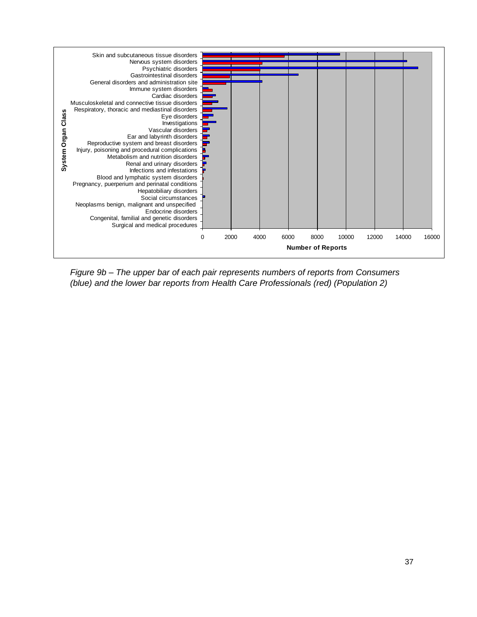

*Figure 9b – The upper bar of each pair represents numbers of reports from Consumers (blue) and the lower bar reports from Health Care Professionals (red) (Population 2)*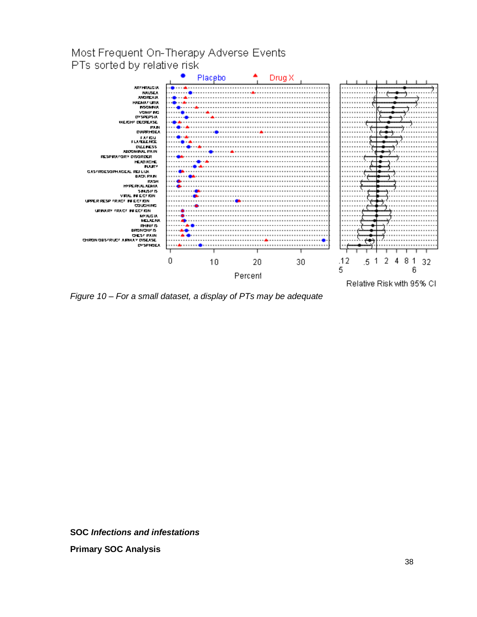

*Figure 10 – For a small dataset, a display of PTs may be adequate*

**SOC** *Infections and infestations* **Primary SOC Analysis**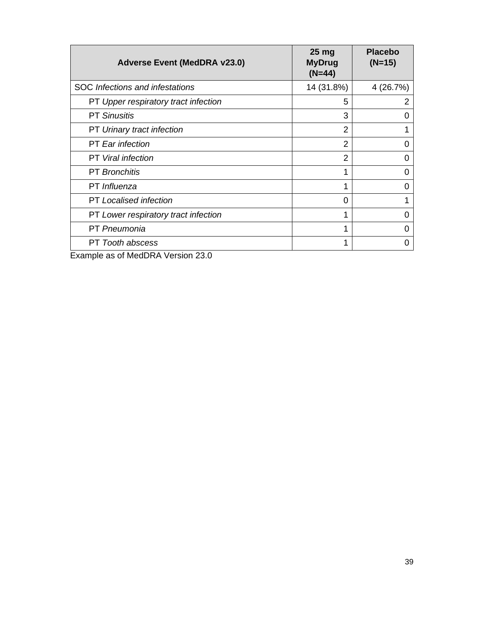| <b>Adverse Event (MedDRA v23.0)</b>    | 25 <sub>mg</sub><br><b>MyDrug</b><br>$(N=44)$ | <b>Placebo</b><br>$(N=15)$ |
|----------------------------------------|-----------------------------------------------|----------------------------|
| <b>SOC</b> Infections and infestations | 14 (31.8%)                                    | 4 (26.7%)                  |
| PT Upper respiratory tract infection   | 5                                             | 2                          |
| <b>PT Sinusitis</b>                    | 3                                             | 0                          |
| PT Urinary tract infection             | 2                                             |                            |
| <b>PT</b> Ear infection                | $\overline{2}$                                | 0                          |
| <b>PT</b> Viral infection              | 2                                             | 0                          |
| <b>PT</b> Bronchitis                   | 1                                             | 0                          |
| PT Influenza                           | 1                                             | O                          |
| <b>PT</b> Localised infection          | 0                                             |                            |
| PT Lower respiratory tract infection   | 1                                             | 0                          |
| <b>PT</b> Pneumonia                    | 1                                             | O                          |
| PT Tooth abscess                       |                                               | O                          |

Example as of MedDRA Version 23.0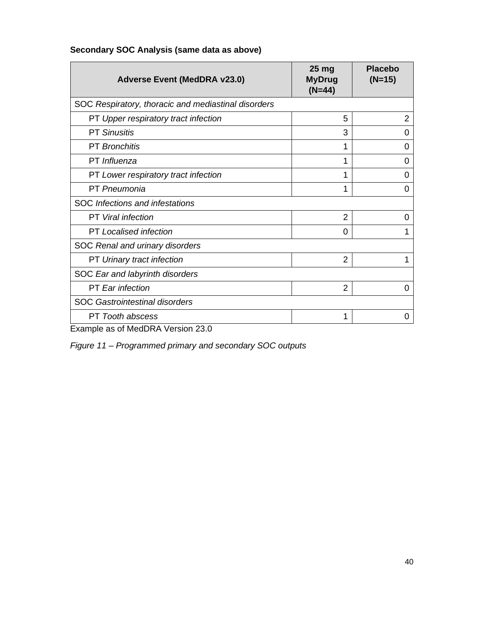| <b>Adverse Event (MedDRA v23.0)</b>                 | 25 <sub>mg</sub><br><b>MyDrug</b><br>$(N=44)$ | <b>Placebo</b><br>$(N=15)$ |  |
|-----------------------------------------------------|-----------------------------------------------|----------------------------|--|
| SOC Respiratory, thoracic and mediastinal disorders |                                               |                            |  |
| PT Upper respiratory tract infection                | 5                                             | $\overline{2}$             |  |
| <b>PT Sinusitis</b>                                 | 3                                             | 0                          |  |
| <b>PT</b> Bronchitis                                |                                               | 0                          |  |
| PT Influenza                                        | 1                                             | 0                          |  |
| PT Lower respiratory tract infection                |                                               | 0                          |  |
| PT Pneumonia                                        | 1                                             | 0                          |  |
| SOC Infections and infestations                     |                                               |                            |  |
| <b>PT</b> Viral infection                           | $\overline{2}$                                | 0                          |  |
| <b>PT</b> Localised infection                       | 0                                             |                            |  |
| SOC Renal and urinary disorders                     |                                               |                            |  |
| PT Urinary tract infection                          | $\overline{2}$                                |                            |  |
| SOC Ear and labyrinth disorders                     |                                               |                            |  |
| <b>PT</b> Ear infection                             | $\overline{2}$                                | 0                          |  |
| <b>SOC Gastrointestinal disorders</b>               |                                               |                            |  |
| PT Tooth abscess                                    | 1                                             | 0                          |  |

# **Secondary SOC Analysis (same data as above)**

Example as of MedDRA Version 23.0

*Figure 11 – Programmed primary and secondary SOC outputs*